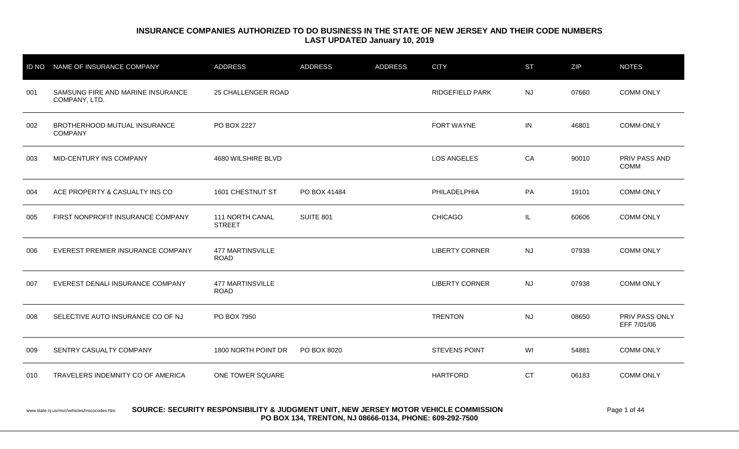| <b>ID NO</b> | NAME OF INSURANCE COMPANY                          | <b>ADDRESS</b>                         | <b>ADDRESS</b> | <b>ADDRESS</b> | <b>CITY</b>           | <b>ST</b> | ZIP   | <b>NOTES</b>                  |
|--------------|----------------------------------------------------|----------------------------------------|----------------|----------------|-----------------------|-----------|-------|-------------------------------|
| 001          | SAMSUNG FIRE AND MARINE INSURANCE<br>COMPANY, LTD. | 25 CHALLENGER ROAD                     |                |                | RIDGEFIELD PARK       | <b>NJ</b> | 07660 | <b>COMM ONLY</b>              |
| 002          | BROTHERHOOD MUTUAL INSURANCE<br><b>COMPANY</b>     | PO BOX 2227                            |                |                | FORT WAYNE            | IN        | 46801 | <b>COMM ONLY</b>              |
| 003          | MID-CENTURY INS COMPANY                            | 4680 WILSHIRE BLVD                     |                |                | LOS ANGELES           | CA        | 90010 | PRIV PASS AND<br><b>COMM</b>  |
| 004          | ACE PROPERTY & CASUALTY INS CO                     | 1601 CHESTNUT ST                       | PO BOX 41484   |                | PHILADELPHIA          | PA        | 19101 | <b>COMM ONLY</b>              |
| 005          | FIRST NONPROFIT INSURANCE COMPANY                  | 111 NORTH CANAL<br><b>STREET</b>       | SUITE 801      |                | <b>CHICAGO</b>        | IL.       | 60606 | <b>COMM ONLY</b>              |
| 006          | EVEREST PREMIER INSURANCE COMPANY                  | <b>477 MARTINSVILLE</b><br><b>ROAD</b> |                |                | <b>LIBERTY CORNER</b> | <b>NJ</b> | 07938 | <b>COMM ONLY</b>              |
| 007          | EVEREST DENALI INSURANCE COMPANY                   | <b>477 MARTINSVILLE</b><br><b>ROAD</b> |                |                | <b>LIBERTY CORNER</b> | <b>NJ</b> | 07938 | <b>COMM ONLY</b>              |
| 008          | SELECTIVE AUTO INSURANCE CO OF NJ                  | PO BOX 7950                            |                |                | <b>TRENTON</b>        | <b>NJ</b> | 08650 | PRIV PASS ONLY<br>EFF 7/01/06 |
| 009          | SENTRY CASUALTY COMPANY                            | 1800 NORTH POINT DR                    | PO BOX 8020    |                | <b>STEVENS POINT</b>  | WI        | 54881 | <b>COMM ONLY</b>              |
| 010          | TRAVELERS INDEMNITY CO OF AMERICA                  | ONE TOWER SQUARE                       |                |                | <b>HARTFORD</b>       | <b>CT</b> | 06183 | <b>COMM ONLY</b>              |

#### www.state.nj.us/mvc/vehicles/inscocodes.htm **SOURCE: SECURITY RESPONSIBILITY & JUDGMENT UNIT, NEW JERSEY MOTOR VEHICLE COMMISSION Page 1 of 44 PO BOX 134, TRENTON, NJ 08666-0134, PHONE: 609-292-7500**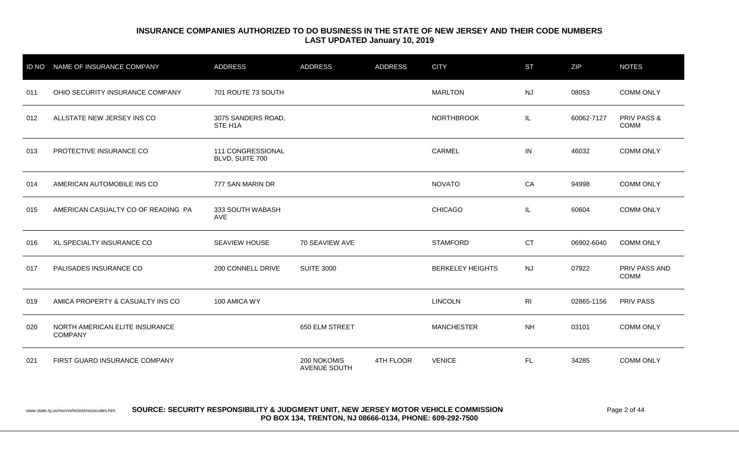| <b>ID NO</b> | <b>NAME OF INSURANCE COMPANY</b>                 | <b>ADDRESS</b>                       | <b>ADDRESS</b>              | <b>ADDRESS</b> | <b>CITY</b>             | <b>ST</b>      | ZIP        | <b>NOTES</b>                          |
|--------------|--------------------------------------------------|--------------------------------------|-----------------------------|----------------|-------------------------|----------------|------------|---------------------------------------|
| 011          | OHIO SECURITY INSURANCE COMPANY                  | 701 ROUTE 73 SOUTH                   |                             |                | <b>MARLTON</b>          | <b>NJ</b>      | 08053      | <b>COMM ONLY</b>                      |
| 012          | ALLSTATE NEW JERSEY INS CO                       | 3075 SANDERS ROAD,<br>STE H1A        |                             |                | <b>NORTHBROOK</b>       | IL.            | 60062-7127 | <b>PRIV PASS &amp;</b><br><b>COMM</b> |
| 013          | PROTECTIVE INSURANCE CO                          | 111 CONGRESSIONAL<br>BLVD, SUITE 700 |                             |                | <b>CARMEL</b>           | IN             | 46032      | <b>COMM ONLY</b>                      |
| 014          | AMERICAN AUTOMOBILE INS CO                       | 777 SAN MARIN DR                     |                             |                | <b>NOVATO</b>           | CA             | 94998      | <b>COMM ONLY</b>                      |
| 015          | AMERICAN CASUALTY CO OF READING PA               | 333 SOUTH WABASH<br><b>AVE</b>       |                             |                | <b>CHICAGO</b>          | IL.            | 60604      | <b>COMM ONLY</b>                      |
| 016          | XL SPECIALTY INSURANCE CO                        | SEAVIEW HOUSE                        | 70 SEAVIEW AVE              |                | <b>STAMFORD</b>         | <b>CT</b>      | 06902-6040 | <b>COMM ONLY</b>                      |
| 017          | PALISADES INSURANCE CO                           | 200 CONNELL DRIVE                    | <b>SUITE 3000</b>           |                | <b>BERKELEY HEIGHTS</b> | <b>NJ</b>      | 07922      | PRIV PASS AND<br><b>COMM</b>          |
| 019          | AMICA PROPERTY & CASUALTY INS CO                 | 100 AMICA WY                         |                             |                | <b>LINCOLN</b>          | R <sub>l</sub> | 02865-1156 | <b>PRIV PASS</b>                      |
| 020          | NORTH AMERICAN ELITE INSURANCE<br><b>COMPANY</b> |                                      | 650 ELM STREET              |                | <b>MANCHESTER</b>       | <b>NH</b>      | 03101      | <b>COMM ONLY</b>                      |
| 021          | FIRST GUARD INSURANCE COMPANY                    |                                      | 200 NOKOMIS<br>AVENUE SOUTH | 4TH FLOOR      | <b>VENICE</b>           | <b>FL</b>      | 34285      | <b>COMM ONLY</b>                      |

#### www.state.nj.us/mvc/vehicles/inscocodes.htm **SOURCE: SECURITY RESPONSIBILITY & JUDGMENT UNIT, NEW JERSEY MOTOR VEHICLE COMMISSION Page 2 of 44 PO BOX 134, TRENTON, NJ 08666-0134, PHONE: 609-292-7500**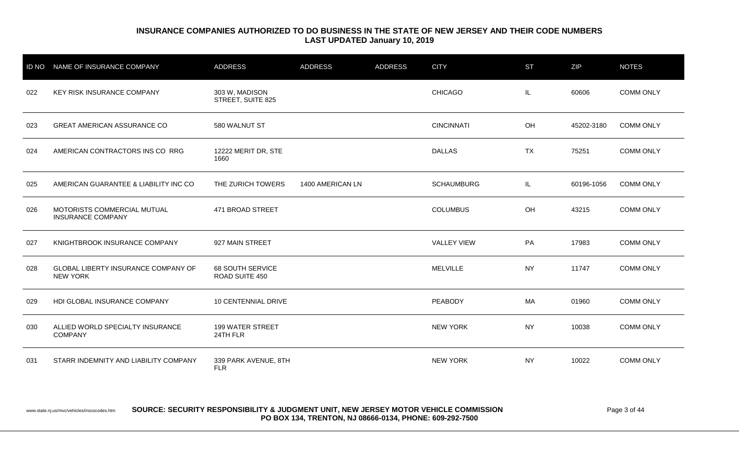| <b>ID NO</b> | NAME OF INSURANCE COMPANY                               | <b>ADDRESS</b>                      | <b>ADDRESS</b>   | <b>ADDRESS</b> | <b>CITY</b>        | <b>ST</b> | ZIP        | <b>NOTES</b>     |
|--------------|---------------------------------------------------------|-------------------------------------|------------------|----------------|--------------------|-----------|------------|------------------|
| 022          | KEY RISK INSURANCE COMPANY                              | 303 W, MADISON<br>STREET, SUITE 825 |                  |                | <b>CHICAGO</b>     | IL.       | 60606      | <b>COMM ONLY</b> |
| 023          | <b>GREAT AMERICAN ASSURANCE CO</b>                      | 580 WALNUT ST                       |                  |                | <b>CINCINNATI</b>  | OH        | 45202-3180 | <b>COMM ONLY</b> |
| 024          | AMERICAN CONTRACTORS INS CO RRG                         | 12222 MERIT DR, STE<br>1660         |                  |                | <b>DALLAS</b>      | <b>TX</b> | 75251      | <b>COMM ONLY</b> |
| 025          | AMERICAN GUARANTEE & LIABILITY INC CO                   | THE ZURICH TOWERS                   | 1400 AMERICAN LN |                | <b>SCHAUMBURG</b>  | IL.       | 60196-1056 | <b>COMM ONLY</b> |
| 026          | MOTORISTS COMMERCIAL MUTUAL<br><b>INSURANCE COMPANY</b> | 471 BROAD STREET                    |                  |                | <b>COLUMBUS</b>    | OH        | 43215      | <b>COMM ONLY</b> |
| 027          | KNIGHTBROOK INSURANCE COMPANY                           | 927 MAIN STREET                     |                  |                | <b>VALLEY VIEW</b> | PA        | 17983      | <b>COMM ONLY</b> |
| 028          | GLOBAL LIBERTY INSURANCE COMPANY OF<br><b>NEW YORK</b>  | 68 SOUTH SERVICE<br>ROAD SUITE 450  |                  |                | <b>MELVILLE</b>    | <b>NY</b> | 11747      | <b>COMM ONLY</b> |
| 029          | HDI GLOBAL INSURANCE COMPANY                            | 10 CENTENNIAL DRIVE                 |                  |                | PEABODY            | МA        | 01960      | <b>COMM ONLY</b> |
| 030          | ALLIED WORLD SPECIALTY INSURANCE<br><b>COMPANY</b>      | 199 WATER STREET<br>24TH FLR        |                  |                | <b>NEW YORK</b>    | <b>NY</b> | 10038      | <b>COMM ONLY</b> |
| 031          | STARR INDEMNITY AND LIABILITY COMPANY                   | 339 PARK AVENUE, 8TH<br><b>FLR</b>  |                  |                | <b>NEW YORK</b>    | <b>NY</b> | 10022      | <b>COMM ONLY</b> |

www.state.nj.us/mvc/vehicles/inscocodes.htm **SOURCE: SECURITY RESPONSIBILITY & JUDGMENT UNIT, NEW JERSEY MOTOR VEHICLE COMMISSION** Page 3 of 44 **PO BOX 134, TRENTON, NJ 08666-0134, PHONE: 609-292-7500**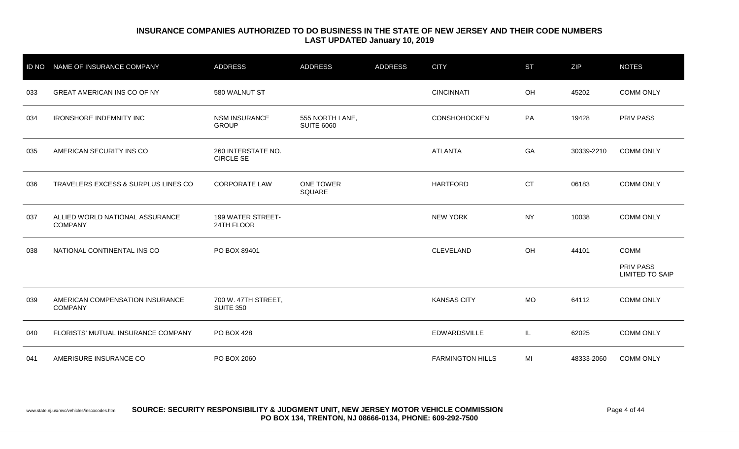| <b>ID NO</b> | NAME OF INSURANCE COMPANY                         | <b>ADDRESS</b>                          | <b>ADDRESS</b>                       | <b>ADDRESS</b> | <b>CITY</b>             | <b>ST</b> | <b>ZIP</b> | <b>NOTES</b>                               |
|--------------|---------------------------------------------------|-----------------------------------------|--------------------------------------|----------------|-------------------------|-----------|------------|--------------------------------------------|
| 033          | <b>GREAT AMERICAN INS CO OF NY</b>                | 580 WALNUT ST                           |                                      |                | <b>CINCINNATI</b>       | OH        | 45202      | <b>COMM ONLY</b>                           |
| 034          | <b>IRONSHORE INDEMNITY INC</b>                    | <b>NSM INSURANCE</b><br><b>GROUP</b>    | 555 NORTH LANE,<br><b>SUITE 6060</b> |                | <b>CONSHOHOCKEN</b>     | PA        | 19428      | <b>PRIV PASS</b>                           |
| 035          | AMERICAN SECURITY INS CO                          | 260 INTERSTATE NO.<br><b>CIRCLE SE</b>  |                                      |                | <b>ATLANTA</b>          | GA        | 30339-2210 | <b>COMM ONLY</b>                           |
| 036          | TRAVELERS EXCESS & SURPLUS LINES CO               | <b>CORPORATE LAW</b>                    | ONE TOWER<br>SQUARE                  |                | <b>HARTFORD</b>         | <b>CT</b> | 06183      | <b>COMM ONLY</b>                           |
| 037          | ALLIED WORLD NATIONAL ASSURANCE<br><b>COMPANY</b> | <b>199 WATER STREET-</b><br>24TH FLOOR  |                                      |                | <b>NEW YORK</b>         | <b>NY</b> | 10038      | <b>COMM ONLY</b>                           |
| 038          | NATIONAL CONTINENTAL INS CO                       | PO BOX 89401                            |                                      |                | <b>CLEVELAND</b>        | OH        | 44101      | <b>COMM</b>                                |
|              |                                                   |                                         |                                      |                |                         |           |            | <b>PRIV PASS</b><br><b>LIMITED TO SAIP</b> |
| 039          | AMERICAN COMPENSATION INSURANCE<br><b>COMPANY</b> | 700 W. 47TH STREET,<br><b>SUITE 350</b> |                                      |                | <b>KANSAS CITY</b>      | <b>MO</b> | 64112      | <b>COMM ONLY</b>                           |
| 040          | FLORISTS' MUTUAL INSURANCE COMPANY                | PO BOX 428                              |                                      |                | <b>EDWARDSVILLE</b>     | IL.       | 62025      | <b>COMM ONLY</b>                           |
| 041          | AMERISURE INSURANCE CO                            | PO BOX 2060                             |                                      |                | <b>FARMINGTON HILLS</b> | MI        | 48333-2060 | <b>COMM ONLY</b>                           |

#### www.state.nj.us/mvc/vehicles/inscocodes.htm **SOURCE: SECURITY RESPONSIBILITY & JUDGMENT UNIT, NEW JERSEY MOTOR VEHICLE COMMISSION** Page 4 of 44 **PO BOX 134, TRENTON, NJ 08666-0134, PHONE: 609-292-7500**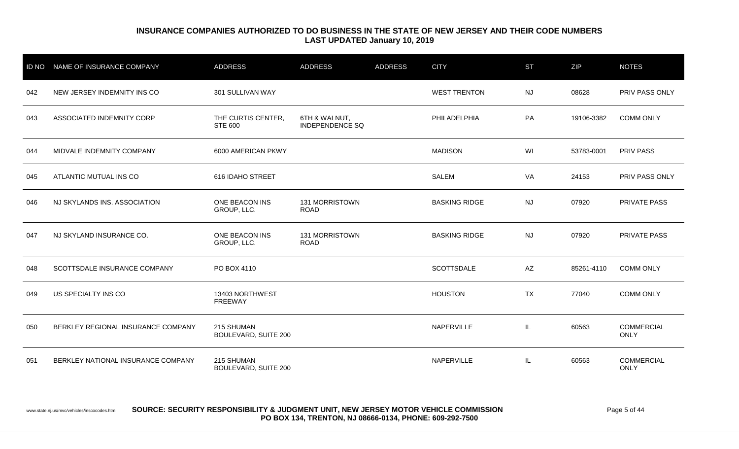| <b>ID NO</b> | NAME OF INSURANCE COMPANY          | <b>ADDRESS</b>                            | <b>ADDRESS</b>                          | <b>ADDRESS</b> | <b>CITY</b>          | <b>ST</b>              | ZIP        | <b>NOTES</b>              |
|--------------|------------------------------------|-------------------------------------------|-----------------------------------------|----------------|----------------------|------------------------|------------|---------------------------|
| 042          | NEW JERSEY INDEMNITY INS CO        | 301 SULLIVAN WAY                          |                                         |                | <b>WEST TRENTON</b>  | <b>NJ</b>              | 08628      | PRIV PASS ONLY            |
| 043          | ASSOCIATED INDEMNITY CORP          | THE CURTIS CENTER,<br><b>STE 600</b>      | 6TH & WALNUT,<br><b>INDEPENDENCE SQ</b> |                | PHILADELPHIA         | PA                     | 19106-3382 | <b>COMM ONLY</b>          |
| 044          | MIDVALE INDEMNITY COMPANY          | 6000 AMERICAN PKWY                        |                                         |                | <b>MADISON</b>       | WI                     | 53783-0001 | <b>PRIV PASS</b>          |
| 045          | ATLANTIC MUTUAL INS CO             | 616 IDAHO STREET                          |                                         |                | <b>SALEM</b>         | VA                     | 24153      | PRIV PASS ONLY            |
| 046          | NJ SKYLANDS INS. ASSOCIATION       | ONE BEACON INS<br>GROUP, LLC.             | 131 MORRISTOWN<br><b>ROAD</b>           |                | <b>BASKING RIDGE</b> | <b>NJ</b>              | 07920      | <b>PRIVATE PASS</b>       |
| 047          | NJ SKYLAND INSURANCE CO.           | ONE BEACON INS<br>GROUP, LLC.             | 131 MORRISTOWN<br><b>ROAD</b>           |                | <b>BASKING RIDGE</b> | <b>NJ</b>              | 07920      | <b>PRIVATE PASS</b>       |
| 048          | SCOTTSDALE INSURANCE COMPANY       | PO BOX 4110                               |                                         |                | <b>SCOTTSDALE</b>    | $\mathsf{A}\mathsf{Z}$ | 85261-4110 | <b>COMM ONLY</b>          |
| 049          | US SPECIALTY INS CO                | 13403 NORTHWEST<br><b>FREEWAY</b>         |                                         |                | <b>HOUSTON</b>       | <b>TX</b>              | 77040      | <b>COMM ONLY</b>          |
| 050          | BERKLEY REGIONAL INSURANCE COMPANY | 215 SHUMAN<br><b>BOULEVARD, SUITE 200</b> |                                         |                | NAPERVILLE           | IL.                    | 60563      | COMMERCIAL<br><b>ONLY</b> |
| 051          | BERKLEY NATIONAL INSURANCE COMPANY | 215 SHUMAN<br><b>BOULEVARD, SUITE 200</b> |                                         |                | NAPERVILLE           | IL.                    | 60563      | <b>COMMERCIAL</b><br>ONLY |

#### www.state.nj.us/mvc/vehicles/inscocodes.htm **SOURCE: SECURITY RESPONSIBILITY & JUDGMENT UNIT, NEW JERSEY MOTOR VEHICLE COMMISSION** Page 5 of 44 **PO BOX 134, TRENTON, NJ 08666-0134, PHONE: 609-292-7500**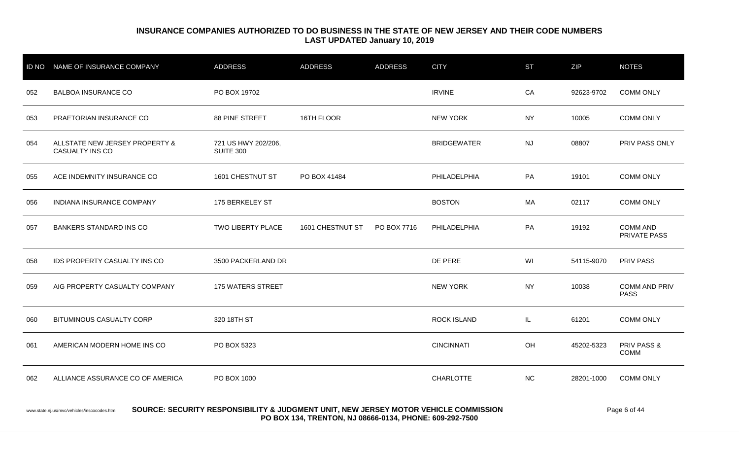| <b>ID NO</b> | NAME OF INSURANCE COMPANY                                                          | <b>ADDRESS</b>                   | <b>ADDRESS</b>   | <b>ADDRESS</b> | <b>CITY</b>        | <b>ST</b> | <b>ZIP</b> | <b>NOTES</b>                           |
|--------------|------------------------------------------------------------------------------------|----------------------------------|------------------|----------------|--------------------|-----------|------------|----------------------------------------|
| 052          | <b>BALBOA INSURANCE CO</b>                                                         | PO BOX 19702                     |                  |                | <b>IRVINE</b>      | CA        | 92623-9702 | <b>COMM ONLY</b>                       |
| 053          | PRAETORIAN INSURANCE CO                                                            | 88 PINE STREET                   | 16TH FLOOR       |                | <b>NEW YORK</b>    | <b>NY</b> | 10005      | <b>COMM ONLY</b>                       |
| 054          | ALLSTATE NEW JERSEY PROPERTY &<br>CASUALTY INS CO                                  | 721 US HWY 202/206,<br>SUITE 300 |                  |                | <b>BRIDGEWATER</b> | <b>NJ</b> | 08807      | PRIV PASS ONLY                         |
| 055          | ACE INDEMNITY INSURANCE CO                                                         | 1601 CHESTNUT ST                 | PO BOX 41484     |                | PHILADELPHIA       | PA        | 19101      | <b>COMM ONLY</b>                       |
| 056          | <b>INDIANA INSURANCE COMPANY</b>                                                   | 175 BERKELEY ST                  |                  |                | <b>BOSTON</b>      | МA        | 02117      | <b>COMM ONLY</b>                       |
| 057          | <b>BANKERS STANDARD INS CO</b>                                                     | TWO LIBERTY PLACE                | 1601 CHESTNUT ST | PO BOX 7716    | PHILADELPHIA       | PA        | 19192      | <b>COMM AND</b><br>PRIVATE PASS        |
| 058          | <b>IDS PROPERTY CASUALTY INS CO</b>                                                | 3500 PACKERLAND DR               |                  |                | DE PERE            | WI        | 54115-9070 | <b>PRIV PASS</b>                       |
| 059          | AIG PROPERTY CASUALTY COMPANY                                                      | 175 WATERS STREET                |                  |                | <b>NEW YORK</b>    | <b>NY</b> | 10038      | <b>COMM AND PRIV</b><br><b>PASS</b>    |
| 060          | <b>BITUMINOUS CASUALTY CORP</b>                                                    | 320 18TH ST                      |                  |                | ROCK ISLAND        | IL        | 61201      | <b>COMM ONLY</b>                       |
| 061          | AMERICAN MODERN HOME INS CO                                                        | PO BOX 5323                      |                  |                | <b>CINCINNATI</b>  | OH        | 45202-5323 | PRIV PASS &<br>COMM                    |
| 062          | ALLIANCE ASSURANCE CO OF AMERICA                                                   | PO BOX 1000                      |                  |                | <b>CHARLOTTE</b>   | <b>NC</b> | 28201-1000 | <b>COMM ONLY</b>                       |
|              | CAUDAE, CEAUDITY DECDANCIBILITY & JUDANEUT UNIT NEW JEDAEV MATAD VEHIALE CAMMOQIAN |                                  |                  |                |                    |           |            | $\mathbf{r}$ $\mathbf{r}$ $\mathbf{r}$ |

www.state.nj.us/mvc/vehicles/inscocodes.htm **SOURCE: SECURITY RESPONSIBILITY & JUDGMENT UNIT, NEW JERSEY MOTOR VEHICLE COMMISSION** Page 6 of 44 **PO BOX 134, TRENTON, NJ 08666-0134, PHONE: 609-292-7500**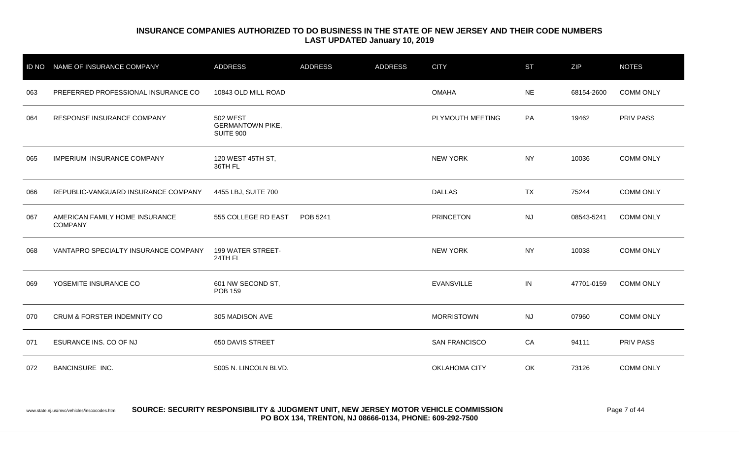| <b>ID NO</b> | NAME OF INSURANCE COMPANY                        | <b>ADDRESS</b>                                   | <b>ADDRESS</b> | <b>ADDRESS</b> | <b>CITY</b>          | <b>ST</b> | ZIP        | <b>NOTES</b>     |
|--------------|--------------------------------------------------|--------------------------------------------------|----------------|----------------|----------------------|-----------|------------|------------------|
| 063          | PREFERRED PROFESSIONAL INSURANCE CO              | 10843 OLD MILL ROAD                              |                |                | <b>OMAHA</b>         | <b>NE</b> | 68154-2600 | <b>COMM ONLY</b> |
| 064          | RESPONSE INSURANCE COMPANY                       | 502 WEST<br><b>GERMANTOWN PIKE,</b><br>SUITE 900 |                |                | PLYMOUTH MEETING     | PA        | 19462      | PRIV PASS        |
| 065          | <b>IMPERIUM INSURANCE COMPANY</b>                | 120 WEST 45TH ST,<br>36TH FL                     |                |                | <b>NEW YORK</b>      | <b>NY</b> | 10036      | <b>COMM ONLY</b> |
| 066          | REPUBLIC-VANGUARD INSURANCE COMPANY              | 4455 LBJ, SUITE 700                              |                |                | <b>DALLAS</b>        | <b>TX</b> | 75244      | <b>COMM ONLY</b> |
| 067          | AMERICAN FAMILY HOME INSURANCE<br><b>COMPANY</b> | 555 COLLEGE RD EAST                              | POB 5241       |                | <b>PRINCETON</b>     | <b>NJ</b> | 08543-5241 | <b>COMM ONLY</b> |
| 068          | VANTAPRO SPECIALTY INSURANCE COMPANY             | 199 WATER STREET-<br>24TH FL                     |                |                | <b>NEW YORK</b>      | <b>NY</b> | 10038      | <b>COMM ONLY</b> |
| 069          | YOSEMITE INSURANCE CO                            | 601 NW SECOND ST,<br><b>POB 159</b>              |                |                | <b>EVANSVILLE</b>    | IN        | 47701-0159 | <b>COMM ONLY</b> |
| 070          | <b>CRUM &amp; FORSTER INDEMNITY CO</b>           | 305 MADISON AVE                                  |                |                | <b>MORRISTOWN</b>    | <b>NJ</b> | 07960      | <b>COMM ONLY</b> |
| 071          | ESURANCE INS. CO OF NJ                           | 650 DAVIS STREET                                 |                |                | <b>SAN FRANCISCO</b> | CA        | 94111      | PRIV PASS        |
| 072          | <b>BANCINSURE INC.</b>                           | 5005 N. LINCOLN BLVD.                            |                |                | <b>OKLAHOMA CITY</b> | OK        | 73126      | <b>COMM ONLY</b> |

#### www.state.nj.us/mvc/vehicles/inscocodes.htm **SOURCE: SECURITY RESPONSIBILITY & JUDGMENT UNIT, NEW JERSEY MOTOR VEHICLE COMMISSION Page 7 of 44 PO BOX 134, TRENTON, NJ 08666-0134, PHONE: 609-292-7500**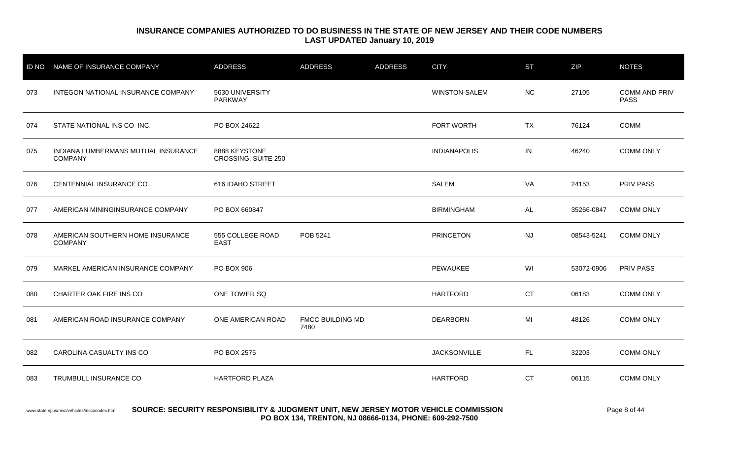|     | ID NO NAME OF INSURANCE COMPANY                       | <b>ADDRESS</b>                       | <b>ADDRESS</b>           | <b>ADDRESS</b> | <b>CITY</b>          | <b>ST</b> | ZIP        | <b>NOTES</b>                        |
|-----|-------------------------------------------------------|--------------------------------------|--------------------------|----------------|----------------------|-----------|------------|-------------------------------------|
| 073 | INTEGON NATIONAL INSURANCE COMPANY                    | 5630 UNIVERSITY<br>PARKWAY           |                          |                | <b>WINSTON-SALEM</b> | <b>NC</b> | 27105      | <b>COMM AND PRIV</b><br><b>PASS</b> |
| 074 | STATE NATIONAL INS CO INC.                            | PO BOX 24622                         |                          |                | FORT WORTH           | <b>TX</b> | 76124      | COMM                                |
| 075 | INDIANA LUMBERMANS MUTUAL INSURANCE<br><b>COMPANY</b> | 8888 KEYSTONE<br>CROSSING, SUITE 250 |                          |                | <b>INDIANAPOLIS</b>  | IN        | 46240      | <b>COMM ONLY</b>                    |
| 076 | CENTENNIAL INSURANCE CO                               | 616 IDAHO STREET                     |                          |                | SALEM                | VA        | 24153      | <b>PRIV PASS</b>                    |
| 077 | AMERICAN MININGINSURANCE COMPANY                      | PO BOX 660847                        |                          |                | <b>BIRMINGHAM</b>    | AL        | 35266-0847 | <b>COMM ONLY</b>                    |
| 078 | AMERICAN SOUTHERN HOME INSURANCE<br><b>COMPANY</b>    | 555 COLLEGE ROAD<br><b>EAST</b>      | POB 5241                 |                | <b>PRINCETON</b>     | <b>NJ</b> | 08543-5241 | <b>COMM ONLY</b>                    |
| 079 | MARKEL AMERICAN INSURANCE COMPANY                     | PO BOX 906                           |                          |                | PEWAUKEE             | WI        | 53072-0906 | <b>PRIV PASS</b>                    |
| 080 | CHARTER OAK FIRE INS CO                               | ONE TOWER SQ                         |                          |                | <b>HARTFORD</b>      | <b>CT</b> | 06183      | <b>COMM ONLY</b>                    |
| 081 | AMERICAN ROAD INSURANCE COMPANY                       | ONE AMERICAN ROAD                    | FMCC BUILDING MD<br>7480 |                | <b>DEARBORN</b>      | MI        | 48126      | <b>COMM ONLY</b>                    |
| 082 | CAROLINA CASUALTY INS CO                              | PO BOX 2575                          |                          |                | <b>JACKSONVILLE</b>  | FL.       | 32203      | <b>COMM ONLY</b>                    |
| 083 | TRUMBULL INSURANCE CO                                 | <b>HARTFORD PLAZA</b>                |                          |                | <b>HARTFORD</b>      | <b>CT</b> | 06115      | <b>COMM ONLY</b>                    |
|     |                                                       |                                      |                          |                |                      |           |            |                                     |

www.state.nj.us/mvc/vehicles/inscocodes.htm **SOURCE: SECURITY RESPONSIBILITY & JUDGMENT UNIT, NEW JERSEY MOTOR VEHICLE COMMISSION** Page 8 of 44 **PO BOX 134, TRENTON, NJ 08666-0134, PHONE: 609-292-7500**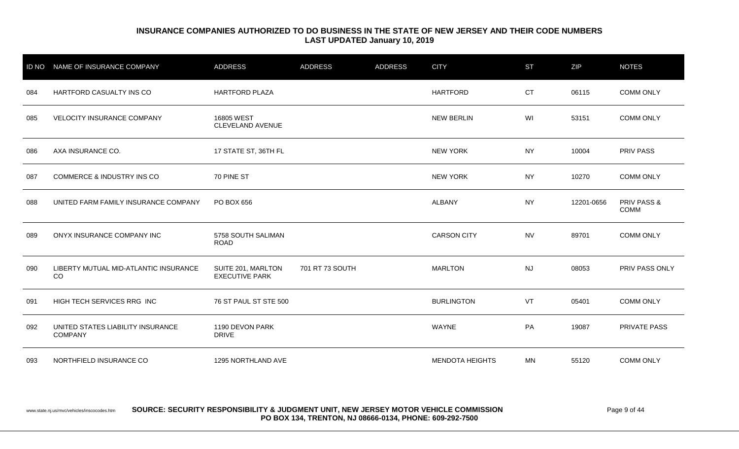| <b>ID NO</b> | NAME OF INSURANCE COMPANY                           | <b>ADDRESS</b>                              | <b>ADDRESS</b>  | <b>ADDRESS</b> | <b>CITY</b>            | <b>ST</b> | ZIP        | <b>NOTES</b>                   |
|--------------|-----------------------------------------------------|---------------------------------------------|-----------------|----------------|------------------------|-----------|------------|--------------------------------|
| 084          | HARTFORD CASUALTY INS CO                            | <b>HARTFORD PLAZA</b>                       |                 |                | <b>HARTFORD</b>        | <b>CT</b> | 06115      | <b>COMM ONLY</b>               |
| 085          | VELOCITY INSURANCE COMPANY                          | 16805 WEST<br>CLEVELAND AVENUE              |                 |                | <b>NEW BERLIN</b>      | WI        | 53151      | <b>COMM ONLY</b>               |
| 086          | AXA INSURANCE CO.                                   | 17 STATE ST, 36TH FL                        |                 |                | <b>NEW YORK</b>        | <b>NY</b> | 10004      | <b>PRIV PASS</b>               |
| 087          | <b>COMMERCE &amp; INDUSTRY INS CO</b>               | 70 PINE ST                                  |                 |                | <b>NEW YORK</b>        | <b>NY</b> | 10270      | <b>COMM ONLY</b>               |
| 088          | UNITED FARM FAMILY INSURANCE COMPANY                | PO BOX 656                                  |                 |                | <b>ALBANY</b>          | <b>NY</b> | 12201-0656 | <b>PRIV PASS &amp;</b><br>COMM |
| 089          | ONYX INSURANCE COMPANY INC                          | 5758 SOUTH SALIMAN<br><b>ROAD</b>           |                 |                | <b>CARSON CITY</b>     | <b>NV</b> | 89701      | <b>COMM ONLY</b>               |
| 090          | LIBERTY MUTUAL MID-ATLANTIC INSURANCE<br>CO         | SUITE 201, MARLTON<br><b>EXECUTIVE PARK</b> | 701 RT 73 SOUTH |                | <b>MARLTON</b>         | <b>NJ</b> | 08053      | PRIV PASS ONLY                 |
| 091          | <b>HIGH TECH SERVICES RRG INC</b>                   | 76 ST PAUL ST STE 500                       |                 |                | <b>BURLINGTON</b>      | VT        | 05401      | <b>COMM ONLY</b>               |
| 092          | UNITED STATES LIABILITY INSURANCE<br><b>COMPANY</b> | 1190 DEVON PARK<br><b>DRIVE</b>             |                 |                | <b>WAYNE</b>           | PA        | 19087      | <b>PRIVATE PASS</b>            |
| 093          | NORTHFIELD INSURANCE CO                             | 1295 NORTHLAND AVE                          |                 |                | <b>MENDOTA HEIGHTS</b> | MN        | 55120      | <b>COMM ONLY</b>               |

www.state.nj.us/mvc/vehicles/inscocodes.htm **SOURCE: SECURITY RESPONSIBILITY & JUDGMENT UNIT, NEW JERSEY MOTOR VEHICLE COMMISSION Page 9 of 44 PO BOX 134, TRENTON, NJ 08666-0134, PHONE: 609-292-7500**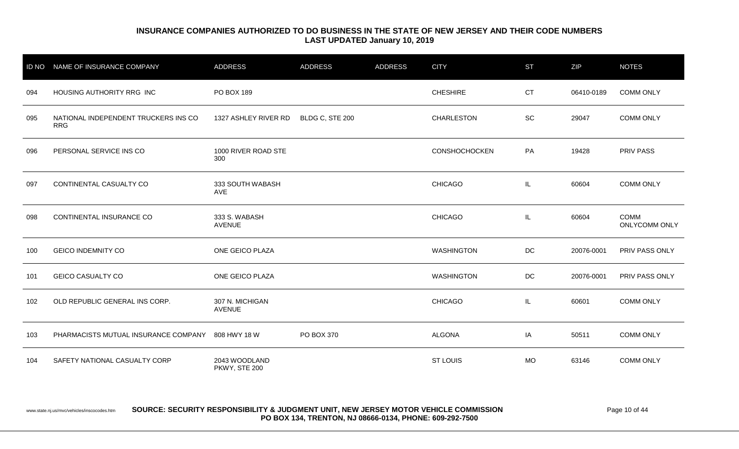| <b>ID NO</b> | NAME OF INSURANCE COMPANY                          | <b>ADDRESS</b>                   | <b>ADDRESS</b>  | <b>ADDRESS</b> | <b>CITY</b>          | <b>ST</b> | ZIP        | <b>NOTES</b>                 |
|--------------|----------------------------------------------------|----------------------------------|-----------------|----------------|----------------------|-----------|------------|------------------------------|
| 094          | HOUSING AUTHORITY RRG INC                          | PO BOX 189                       |                 |                | <b>CHESHIRE</b>      | <b>CT</b> | 06410-0189 | <b>COMM ONLY</b>             |
| 095          | NATIONAL INDEPENDENT TRUCKERS INS CO<br><b>RRG</b> | 1327 ASHLEY RIVER RD             | BLDG C, STE 200 |                | <b>CHARLESTON</b>    | SC        | 29047      | <b>COMM ONLY</b>             |
| 096          | PERSONAL SERVICE INS CO                            | 1000 RIVER ROAD STE<br>300       |                 |                | <b>CONSHOCHOCKEN</b> | PA        | 19428      | <b>PRIV PASS</b>             |
| 097          | CONTINENTAL CASUALTY CO                            | 333 SOUTH WABASH<br>AVE          |                 |                | <b>CHICAGO</b>       | IL.       | 60604      | <b>COMM ONLY</b>             |
| 098          | CONTINENTAL INSURANCE CO                           | 333 S. WABASH<br><b>AVENUE</b>   |                 |                | <b>CHICAGO</b>       | IL.       | 60604      | <b>COMM</b><br>ONLYCOMM ONLY |
| 100          | <b>GEICO INDEMNITY CO</b>                          | ONE GEICO PLAZA                  |                 |                | <b>WASHINGTON</b>    | $DC$      | 20076-0001 | PRIV PASS ONLY               |
| 101          | <b>GEICO CASUALTY CO</b>                           | ONE GEICO PLAZA                  |                 |                | <b>WASHINGTON</b>    | $DC$      | 20076-0001 | PRIV PASS ONLY               |
| 102          | OLD REPUBLIC GENERAL INS CORP.                     | 307 N. MICHIGAN<br><b>AVENUE</b> |                 |                | <b>CHICAGO</b>       | IL.       | 60601      | <b>COMM ONLY</b>             |
| 103          | PHARMACISTS MUTUAL INSURANCE COMPANY               | 808 HWY 18 W                     | PO BOX 370      |                | <b>ALGONA</b>        | IA        | 50511      | <b>COMM ONLY</b>             |
| 104          | SAFETY NATIONAL CASUALTY CORP                      | 2043 WOODLAND<br>PKWY, STE 200   |                 |                | <b>ST LOUIS</b>      | <b>MO</b> | 63146      | <b>COMM ONLY</b>             |

#### www.state.nj.us/mvc/vehicles/inscocodes.htm **SOURCE: SECURITY RESPONSIBILITY & JUDGMENT UNIT, NEW JERSEY MOTOR VEHICLE COMMISSION** Page 10 of 44 **PO BOX 134, TRENTON, NJ 08666-0134, PHONE: 609-292-7500**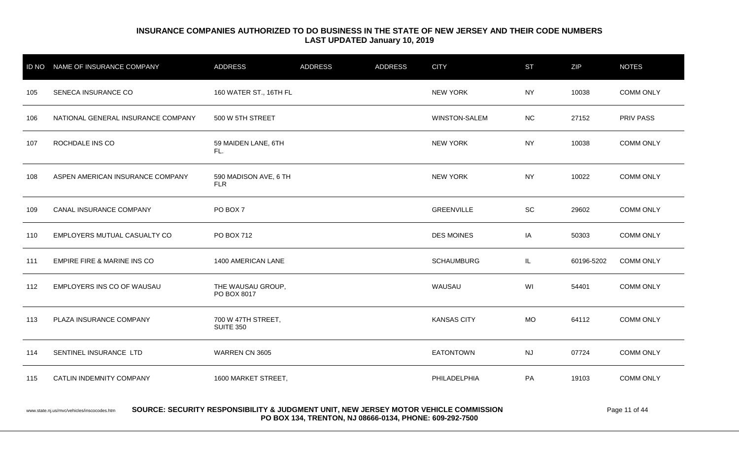|     | ID NO NAME OF INSURANCE COMPANY    | <b>ADDRESS</b>                         | <b>ADDRESS</b> | <b>ADDRESS</b> | <b>CITY</b>          | <b>ST</b> | ZIP        | <b>NOTES</b>     |
|-----|------------------------------------|----------------------------------------|----------------|----------------|----------------------|-----------|------------|------------------|
| 105 | SENECA INSURANCE CO                | 160 WATER ST., 16TH FL                 |                |                | <b>NEW YORK</b>      | <b>NY</b> | 10038      | <b>COMM ONLY</b> |
| 106 | NATIONAL GENERAL INSURANCE COMPANY | 500 W 5TH STREET                       |                |                | <b>WINSTON-SALEM</b> | <b>NC</b> | 27152      | <b>PRIV PASS</b> |
| 107 | ROCHDALE INS CO                    | 59 MAIDEN LANE, 6TH<br>FL.             |                |                | <b>NEW YORK</b>      | <b>NY</b> | 10038      | <b>COMM ONLY</b> |
| 108 | ASPEN AMERICAN INSURANCE COMPANY   | 590 MADISON AVE, 6 TH<br><b>FLR</b>    |                |                | <b>NEW YORK</b>      | <b>NY</b> | 10022      | <b>COMM ONLY</b> |
| 109 | CANAL INSURANCE COMPANY            | PO BOX 7                               |                |                | <b>GREENVILLE</b>    | SC        | 29602      | <b>COMM ONLY</b> |
| 110 | EMPLOYERS MUTUAL CASUALTY CO       | PO BOX 712                             |                |                | <b>DES MOINES</b>    | IA        | 50303      | <b>COMM ONLY</b> |
| 111 | EMPIRE FIRE & MARINE INS CO        | 1400 AMERICAN LANE                     |                |                | <b>SCHAUMBURG</b>    | IL.       | 60196-5202 | <b>COMM ONLY</b> |
| 112 | EMPLOYERS INS CO OF WAUSAU         | THE WAUSAU GROUP,<br>PO BOX 8017       |                |                | WAUSAU               | WI        | 54401      | <b>COMM ONLY</b> |
| 113 | PLAZA INSURANCE COMPANY            | 700 W 47TH STREET,<br><b>SUITE 350</b> |                |                | <b>KANSAS CITY</b>   | <b>MO</b> | 64112      | <b>COMM ONLY</b> |
| 114 | SENTINEL INSURANCE LTD             | WARREN CN 3605                         |                |                | <b>EATONTOWN</b>     | <b>NJ</b> | 07724      | <b>COMM ONLY</b> |
| 115 | <b>CATLIN INDEMNITY COMPANY</b>    | 1600 MARKET STREET,                    |                |                | PHILADELPHIA         | PA        | 19103      | <b>COMM ONLY</b> |
|     |                                    |                                        |                |                |                      |           |            |                  |

#### www.state.nj.us/mvc/vehicles/inscocodes.htm **SOURCE: SECURITY RESPONSIBILITY & JUDGMENT UNIT, NEW JERSEY MOTOR VEHICLE COMMISSION** Page 11 of 44 **PO BOX 134, TRENTON, NJ 08666-0134, PHONE: 609-292-7500**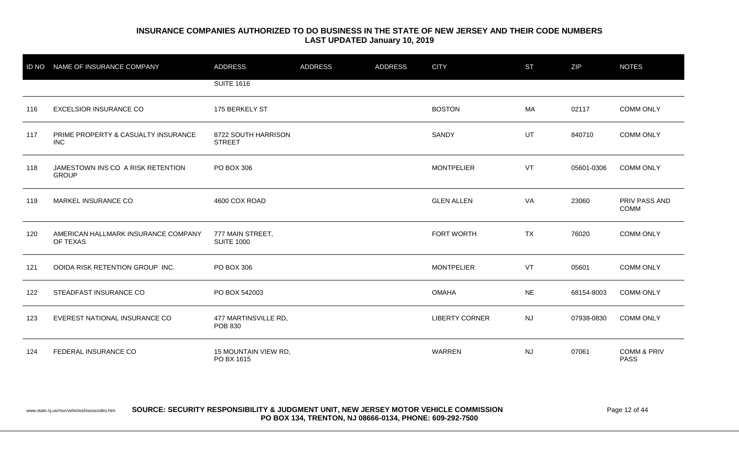|     | ID NO NAME OF INSURANCE COMPANY                   | <b>ADDRESS</b>                         | <b>ADDRESS</b> | <b>ADDRESS</b> | <b>CITY</b>           | <b>ST</b> | ZIP        | <b>NOTES</b>                          |
|-----|---------------------------------------------------|----------------------------------------|----------------|----------------|-----------------------|-----------|------------|---------------------------------------|
|     |                                                   | <b>SUITE 1616</b>                      |                |                |                       |           |            |                                       |
| 116 | <b>EXCELSIOR INSURANCE CO</b>                     | 175 BERKELY ST                         |                |                | <b>BOSTON</b>         | MA        | 02117      | <b>COMM ONLY</b>                      |
| 117 | PRIME PROPERTY & CASUALTY INSURANCE<br><b>INC</b> | 8722 SOUTH HARRISON<br><b>STREET</b>   |                |                | SANDY                 | <b>UT</b> | 840710     | <b>COMM ONLY</b>                      |
| 118 | JAMESTOWN INS CO A RISK RETENTION<br><b>GROUP</b> | PO BOX 306                             |                |                | <b>MONTPELIER</b>     | VT        | 05601-0306 | <b>COMM ONLY</b>                      |
| 119 | MARKEL INSURANCE CO                               | 4600 COX ROAD                          |                |                | <b>GLEN ALLEN</b>     | VA        | 23060      | PRIV PASS AND<br><b>COMM</b>          |
| 120 | AMERICAN HALLMARK INSURANCE COMPANY<br>OF TEXAS   | 777 MAIN STREET,<br><b>SUITE 1000</b>  |                |                | FORT WORTH            | TX        | 76020      | <b>COMM ONLY</b>                      |
| 121 | OOIDA RISK RETENTION GROUP INC.                   | PO BOX 306                             |                |                | <b>MONTPELIER</b>     | VT        | 05601      | <b>COMM ONLY</b>                      |
| 122 | STEADFAST INSURANCE CO                            | PO BOX 542003                          |                |                | <b>OMAHA</b>          | <b>NE</b> | 68154-8003 | <b>COMM ONLY</b>                      |
| 123 | EVEREST NATIONAL INSURANCE CO                     | 477 MARTINSVILLE RD,<br><b>POB 830</b> |                |                | <b>LIBERTY CORNER</b> | <b>NJ</b> | 07938-0830 | <b>COMM ONLY</b>                      |
| 124 | FEDERAL INSURANCE CO                              | 15 MOUNTAIN VIEW RD,<br>PO BX 1615     |                |                | <b>WARREN</b>         | <b>NJ</b> | 07061      | <b>COMM &amp; PRIV</b><br><b>PASS</b> |

www.state.nj.us/mvc/vehicles/inscocodes.htm **SOURCE: SECURITY RESPONSIBILITY & JUDGMENT UNIT, NEW JERSEY MOTOR VEHICLE COMMISSION** Page 12 of 44 **PO BOX 134, TRENTON, NJ 08666-0134, PHONE: 609-292-7500**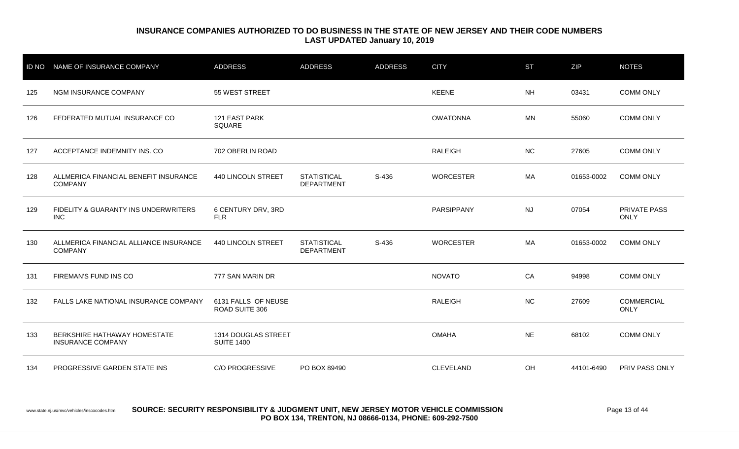| <b>ID NO</b> | NAME OF INSURANCE COMPANY                                | <b>ADDRESS</b>                           | <b>ADDRESS</b>                          | <b>ADDRESS</b> | <b>CITY</b>      | <b>ST</b> | ZIP        | <b>NOTES</b>                     |
|--------------|----------------------------------------------------------|------------------------------------------|-----------------------------------------|----------------|------------------|-----------|------------|----------------------------------|
| 125          | NGM INSURANCE COMPANY                                    | 55 WEST STREET                           |                                         |                | <b>KEENE</b>     | <b>NH</b> | 03431      | <b>COMM ONLY</b>                 |
| 126          | FEDERATED MUTUAL INSURANCE CO                            | 121 EAST PARK<br>SQUARE                  |                                         |                | <b>OWATONNA</b>  | <b>MN</b> | 55060      | <b>COMM ONLY</b>                 |
| 127          | ACCEPTANCE INDEMNITY INS. CO                             | 702 OBERLIN ROAD                         |                                         |                | <b>RALEIGH</b>   | <b>NC</b> | 27605      | <b>COMM ONLY</b>                 |
| 128          | ALLMERICA FINANCIAL BENEFIT INSURANCE<br><b>COMPANY</b>  | 440 LINCOLN STREET                       | <b>STATISTICAL</b><br><b>DEPARTMENT</b> | S-436          | <b>WORCESTER</b> | MA        | 01653-0002 | <b>COMM ONLY</b>                 |
| 129          | FIDELITY & GUARANTY INS UNDERWRITERS<br><b>INC</b>       | 6 CENTURY DRV, 3RD<br><b>FLR</b>         |                                         |                | PARSIPPANY       | <b>NJ</b> | 07054      | PRIVATE PASS<br><b>ONLY</b>      |
| 130          | ALLMERICA FINANCIAL ALLIANCE INSURANCE<br><b>COMPANY</b> | 440 LINCOLN STREET                       | <b>STATISTICAL</b><br><b>DEPARTMENT</b> | S-436          | <b>WORCESTER</b> | MA        | 01653-0002 | <b>COMM ONLY</b>                 |
| 131          | FIREMAN'S FUND INS CO                                    | 777 SAN MARIN DR                         |                                         |                | <b>NOVATO</b>    | CA        | 94998      | <b>COMM ONLY</b>                 |
| 132          | FALLS LAKE NATIONAL INSURANCE COMPANY                    | 6131 FALLS OF NEUSE<br>ROAD SUITE 306    |                                         |                | <b>RALEIGH</b>   | <b>NC</b> | 27609      | <b>COMMERCIAL</b><br><b>ONLY</b> |
| 133          | BERKSHIRE HATHAWAY HOMESTATE<br><b>INSURANCE COMPANY</b> | 1314 DOUGLAS STREET<br><b>SUITE 1400</b> |                                         |                | <b>OMAHA</b>     | <b>NE</b> | 68102      | <b>COMM ONLY</b>                 |
| 134          | <b>PROGRESSIVE GARDEN STATE INS</b>                      | <b>C/O PROGRESSIVE</b>                   | PO BOX 89490                            |                | <b>CLEVELAND</b> | OH        | 44101-6490 | <b>PRIV PASS ONLY</b>            |

www.state.nj.us/mvc/vehicles/inscocodes.htm **SOURCE: SECURITY RESPONSIBILITY & JUDGMENT UNIT, NEW JERSEY MOTOR VEHICLE COMMISSION** Page 13 of 44 **PO BOX 134, TRENTON, NJ 08666-0134, PHONE: 609-292-7500**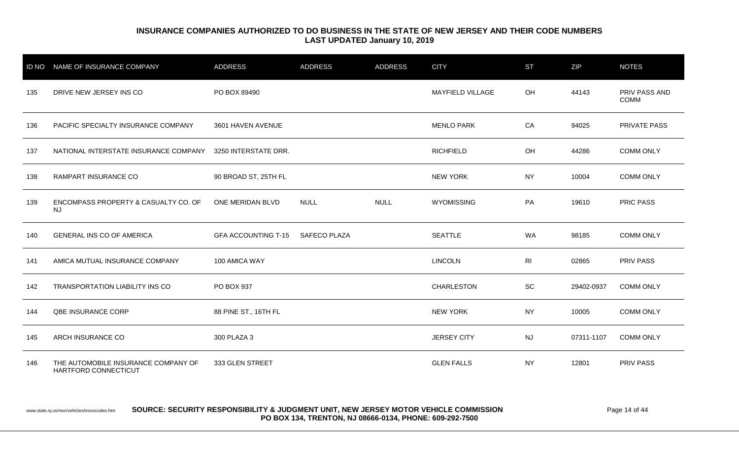| <b>ID NO</b> | NAME OF INSURANCE COMPANY                                   | <b>ADDRESS</b>             | <b>ADDRESS</b>      | <b>ADDRESS</b> | <b>CITY</b>        | <b>ST</b>      | ZIP        | <b>NOTES</b>                 |
|--------------|-------------------------------------------------------------|----------------------------|---------------------|----------------|--------------------|----------------|------------|------------------------------|
| 135          | DRIVE NEW JERSEY INS CO                                     | PO BOX 89490               |                     |                | MAYFIELD VILLAGE   | OH             | 44143      | PRIV PASS AND<br><b>COMM</b> |
| 136          | PACIFIC SPECIALTY INSURANCE COMPANY                         | 3601 HAVEN AVENUE          |                     |                | <b>MENLO PARK</b>  | CA             | 94025      | PRIVATE PASS                 |
| 137          | NATIONAL INTERSTATE INSURANCE COMPANY                       | 3250 INTERSTATE DRR.       |                     |                | <b>RICHFIELD</b>   | OH             | 44286      | <b>COMM ONLY</b>             |
| 138          | RAMPART INSURANCE CO                                        | 90 BROAD ST, 25TH FL       |                     |                | <b>NEW YORK</b>    | <b>NY</b>      | 10004      | <b>COMM ONLY</b>             |
| 139          | ENCOMPASS PROPERTY & CASUALTY CO. OF<br><b>NJ</b>           | ONE MERIDAN BLVD           | <b>NULL</b>         | <b>NULL</b>    | <b>WYOMISSING</b>  | PA             | 19610      | <b>PRIC PASS</b>             |
| 140          | <b>GENERAL INS CO OF AMERICA</b>                            | <b>GFA ACCOUNTING T-15</b> | <b>SAFECO PLAZA</b> |                | <b>SEATTLE</b>     | WA             | 98185      | <b>COMM ONLY</b>             |
| 141          | AMICA MUTUAL INSURANCE COMPANY                              | 100 AMICA WAY              |                     |                | <b>LINCOLN</b>     | R <sub>l</sub> | 02865      | PRIV PASS                    |
| 142          | TRANSPORTATION LIABILITY INS CO                             | PO BOX 937                 |                     |                | <b>CHARLESTON</b>  | SC             | 29402-0937 | <b>COMM ONLY</b>             |
| 144          | QBE INSURANCE CORP                                          | 88 PINE ST., 16TH FL       |                     |                | <b>NEW YORK</b>    | <b>NY</b>      | 10005      | <b>COMM ONLY</b>             |
| 145          | ARCH INSURANCE CO                                           | 300 PLAZA 3                |                     |                | <b>JERSEY CITY</b> | <b>NJ</b>      | 07311-1107 | <b>COMM ONLY</b>             |
| 146          | THE AUTOMOBILE INSURANCE COMPANY OF<br>HARTFORD CONNECTICUT | 333 GLEN STREET            |                     |                | <b>GLEN FALLS</b>  | <b>NY</b>      | 12801      | PRIV PASS                    |

www.state.nj.us/mvc/vehicles/inscocodes.htm **SOURCE: SECURITY RESPONSIBILITY & JUDGMENT UNIT, NEW JERSEY MOTOR VEHICLE COMMISSION** Page 14 of 44 **PO BOX 134, TRENTON, NJ 08666-0134, PHONE: 609-292-7500**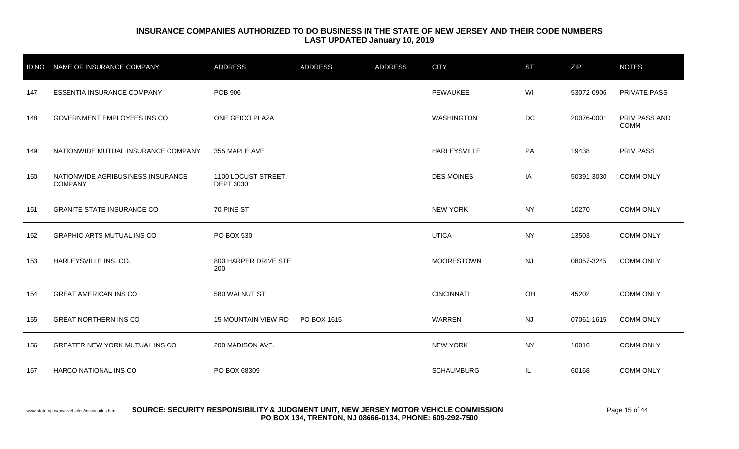|     | ID NO NAME OF INSURANCE COMPANY                     | <b>ADDRESS</b>                          | <b>ADDRESS</b> | <b>ADDRESS</b> | <b>CITY</b>         | <b>ST</b> | ZIP        | <b>NOTES</b>                 |
|-----|-----------------------------------------------------|-----------------------------------------|----------------|----------------|---------------------|-----------|------------|------------------------------|
| 147 | ESSENTIA INSURANCE COMPANY                          | POB 906                                 |                |                | PEWAUKEE            | WI        | 53072-0906 | PRIVATE PASS                 |
| 148 | <b>GOVERNMENT EMPLOYEES INS CO</b>                  | ONE GEICO PLAZA                         |                |                | <b>WASHINGTON</b>   | DC        | 20076-0001 | PRIV PASS AND<br><b>COMM</b> |
| 149 | NATIONWIDE MUTUAL INSURANCE COMPANY                 | 355 MAPLE AVE                           |                |                | <b>HARLEYSVILLE</b> | PA        | 19438      | PRIV PASS                    |
| 150 | NATIONWIDE AGRIBUSINESS INSURANCE<br><b>COMPANY</b> | 1100 LOCUST STREET,<br><b>DEPT 3030</b> |                |                | <b>DES MOINES</b>   | IA        | 50391-3030 | <b>COMM ONLY</b>             |
| 151 | <b>GRANITE STATE INSURANCE CO</b>                   | 70 PINE ST                              |                |                | <b>NEW YORK</b>     | <b>NY</b> | 10270      | <b>COMM ONLY</b>             |
| 152 | <b>GRAPHIC ARTS MUTUAL INS CO</b>                   | PO BOX 530                              |                |                | <b>UTICA</b>        | <b>NY</b> | 13503      | <b>COMM ONLY</b>             |
| 153 | HARLEYSVILLE INS. CO.                               | 800 HARPER DRIVE STE<br>200             |                |                | <b>MOORESTOWN</b>   | <b>NJ</b> | 08057-3245 | <b>COMM ONLY</b>             |
| 154 | <b>GREAT AMERICAN INS CO</b>                        | 580 WALNUT ST                           |                |                | <b>CINCINNATI</b>   | OH        | 45202      | <b>COMM ONLY</b>             |
| 155 | <b>GREAT NORTHERN INS CO</b>                        | <b>15 MOUNTAIN VIEW RD</b>              | PO BOX 1615    |                | WARREN              | <b>NJ</b> | 07061-1615 | <b>COMM ONLY</b>             |
| 156 | <b>GREATER NEW YORK MUTUAL INS CO</b>               | 200 MADISON AVE.                        |                |                | <b>NEW YORK</b>     | <b>NY</b> | 10016      | <b>COMM ONLY</b>             |
| 157 | HARCO NATIONAL INS CO                               | PO BOX 68309                            |                |                | <b>SCHAUMBURG</b>   | IL.       | 60168      | <b>COMM ONLY</b>             |

#### www.state.nj.us/mvc/vehicles/inscocodes.htm **SOURCE: SECURITY RESPONSIBILITY & JUDGMENT UNIT, NEW JERSEY MOTOR VEHICLE COMMISSION** Page 15 of 44 **PO BOX 134, TRENTON, NJ 08666-0134, PHONE: 609-292-7500**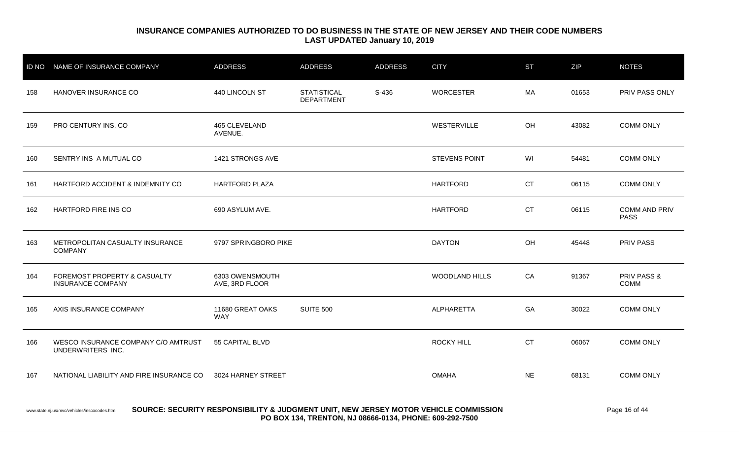| <b>ID NO</b>                                                                                                                                                                                                    | NAME OF INSURANCE COMPANY                                | <b>ADDRESS</b>                    | <b>ADDRESS</b>                          | <b>ADDRESS</b> | <b>CITY</b>           | <b>ST</b> | ZIP   | <b>NOTES</b>                        |
|-----------------------------------------------------------------------------------------------------------------------------------------------------------------------------------------------------------------|----------------------------------------------------------|-----------------------------------|-----------------------------------------|----------------|-----------------------|-----------|-------|-------------------------------------|
| 158                                                                                                                                                                                                             | HANOVER INSURANCE CO                                     | 440 LINCOLN ST                    | <b>STATISTICAL</b><br><b>DEPARTMENT</b> | S-436          | <b>WORCESTER</b>      | MA        | 01653 | PRIV PASS ONLY                      |
| 159                                                                                                                                                                                                             | PRO CENTURY INS. CO                                      | 465 CLEVELAND<br>AVENUE.          |                                         |                | WESTERVILLE           | OH        | 43082 | <b>COMM ONLY</b>                    |
| 160                                                                                                                                                                                                             | SENTRY INS A MUTUAL CO                                   | 1421 STRONGS AVE                  |                                         |                | <b>STEVENS POINT</b>  | WI        | 54481 | <b>COMM ONLY</b>                    |
| 161                                                                                                                                                                                                             | HARTFORD ACCIDENT & INDEMNITY CO                         | <b>HARTFORD PLAZA</b>             |                                         |                | <b>HARTFORD</b>       | <b>CT</b> | 06115 | <b>COMM ONLY</b>                    |
| 162                                                                                                                                                                                                             | HARTFORD FIRE INS CO                                     | 690 ASYLUM AVE.                   |                                         |                | <b>HARTFORD</b>       | <b>CT</b> | 06115 | <b>COMM AND PRIV</b><br><b>PASS</b> |
| 163                                                                                                                                                                                                             | METROPOLITAN CASUALTY INSURANCE<br><b>COMPANY</b>        | 9797 SPRINGBORO PIKE              |                                         |                | <b>DAYTON</b>         | OH        | 45448 | <b>PRIV PASS</b>                    |
| 164                                                                                                                                                                                                             | FOREMOST PROPERTY & CASUALTY<br><b>INSURANCE COMPANY</b> | 6303 OWENSMOUTH<br>AVE, 3RD FLOOR |                                         |                | <b>WOODLAND HILLS</b> | CA        | 91367 | PRIV PASS &<br>COMM                 |
| 165                                                                                                                                                                                                             | AXIS INSURANCE COMPANY                                   | 11680 GREAT OAKS<br><b>WAY</b>    | <b>SUITE 500</b>                        |                | ALPHARETTA            | GA        | 30022 | <b>COMM ONLY</b>                    |
| 166                                                                                                                                                                                                             | WESCO INSURANCE COMPANY C/O AMTRUST<br>UNDERWRITERS INC. | 55 CAPITAL BLVD                   |                                         |                | <b>ROCKY HILL</b>     | <b>CT</b> | 06067 | <b>COMM ONLY</b>                    |
| 167                                                                                                                                                                                                             | NATIONAL LIABILITY AND FIRE INSURANCE CO                 | 3024 HARNEY STREET                |                                         |                | <b>OMAHA</b>          | <b>NE</b> | 68131 | <b>COMM ONLY</b>                    |
| SOURCE: SECURITY RESPONSIBILITY & JUDGMENT UNIT, NEW JERSEY MOTOR VEHICLE COMMISSION<br>Page 16 of 44<br>www.state.nj.us/mvc/vehicles/inscocodes.htm<br>PO BOX 134, TRENTON, NJ 08666-0134, PHONE: 609-292-7500 |                                                          |                                   |                                         |                |                       |           |       |                                     |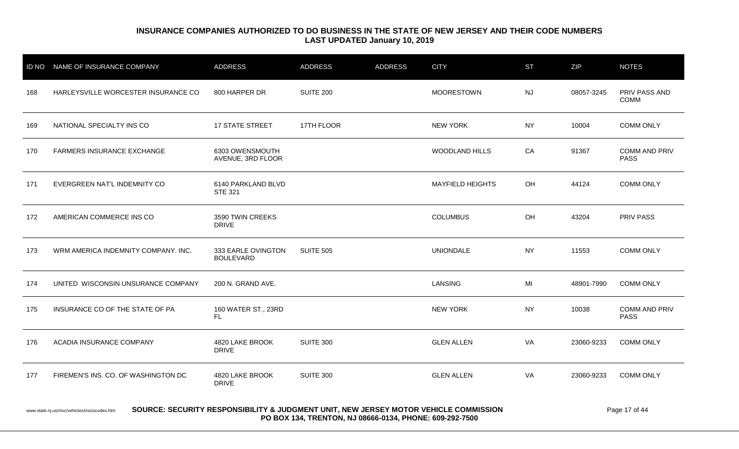|                                                                                                                                                                                                | ID NO NAME OF INSURANCE COMPANY     | <b>ADDRESS</b>                         | <b>ADDRESS</b>   | <b>ADDRESS</b> | <b>CITY</b>             | <b>ST</b> | ZIP        | <b>NOTES</b>                        |
|------------------------------------------------------------------------------------------------------------------------------------------------------------------------------------------------|-------------------------------------|----------------------------------------|------------------|----------------|-------------------------|-----------|------------|-------------------------------------|
| 168                                                                                                                                                                                            | HARLEYSVILLE WORCESTER INSURANCE CO | 800 HARPER DR                          | <b>SUITE 200</b> |                | <b>MOORESTOWN</b>       | <b>NJ</b> | 08057-3245 | PRIV PASS AND<br><b>COMM</b>        |
| 169                                                                                                                                                                                            | NATIONAL SPECIALTY INS CO           | <b>17 STATE STREET</b>                 | 17TH FLOOR       |                | <b>NEW YORK</b>         | <b>NY</b> | 10004      | COMM ONLY                           |
| 170                                                                                                                                                                                            | <b>FARMERS INSURANCE EXCHANGE</b>   | 6303 OWENSMOUTH<br>AVENUE, 3RD FLOOR   |                  |                | WOODLAND HILLS          | CA        | 91367      | <b>COMM AND PRIV</b><br><b>PASS</b> |
| 171                                                                                                                                                                                            | EVERGREEN NAT'L INDEMNITY CO        | 6140 PARKLAND BLVD<br><b>STE 321</b>   |                  |                | <b>MAYFIELD HEIGHTS</b> | OH        | 44124      | <b>COMM ONLY</b>                    |
| 172                                                                                                                                                                                            | AMERICAN COMMERCE INS CO            | 3590 TWIN CREEKS<br><b>DRIVE</b>       |                  |                | <b>COLUMBUS</b>         | OH        | 43204      | <b>PRIV PASS</b>                    |
| 173                                                                                                                                                                                            | WRM AMERICA INDEMNITY COMPANY, INC. | 333 EARLE OVINGTON<br><b>BOULEVARD</b> | <b>SUITE 505</b> |                | <b>UNIONDALE</b>        | <b>NY</b> | 11553      | <b>COMM ONLY</b>                    |
| 174                                                                                                                                                                                            | UNITED WISCONSIN UNSURANCE COMPANY  | 200 N. GRAND AVE.                      |                  |                | <b>LANSING</b>          | MI        | 48901-7990 | <b>COMM ONLY</b>                    |
| 175                                                                                                                                                                                            | INSURANCE CO OF THE STATE OF PA     | 160 WATER ST., 23RD<br>FL.             |                  |                | <b>NEW YORK</b>         | <b>NY</b> | 10038      | <b>COMM AND PRIV</b><br><b>PASS</b> |
| 176                                                                                                                                                                                            | ACADIA INSURANCE COMPANY            | 4820 LAKE BROOK<br><b>DRIVE</b>        | <b>SUITE 300</b> |                | <b>GLEN ALLEN</b>       | VA        | 23060-9233 | <b>COMM ONLY</b>                    |
| FIREMEN'S INS. CO. OF WASHINGTON DC<br>4820 LAKE BROOK<br><b>SUITE 300</b><br><b>GLEN ALLEN</b><br>VA<br>23060-9233<br>177<br><b>DRIVE</b>                                                     |                                     |                                        |                  |                |                         |           |            |                                     |
| SOURCE: SECURITY RESPONSIBILITY & JUDGMENT UNIT, NEW JERSEY MOTOR VEHICLE COMMISSION<br>www.state.nj.us/mvc/vehicles/inscocodes.htm<br>PO BOX 134, TRENTON, NJ 08666-0134, PHONE: 609-292-7500 |                                     |                                        |                  |                |                         |           |            |                                     |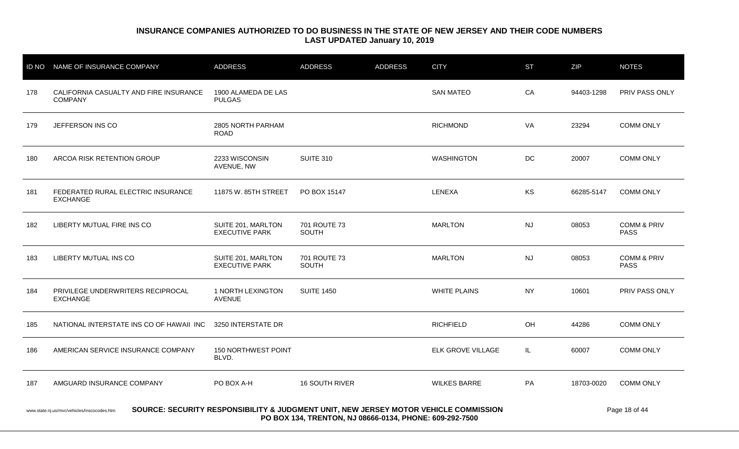|                                                                                                                                                                                                | ID NO NAME OF INSURANCE COMPANY                          | <b>ADDRESS</b>                              | <b>ADDRESS</b>        | <b>ADDRESS</b> | <b>CITY</b>              | <b>ST</b> | ZIP        | <b>NOTES</b>                          |
|------------------------------------------------------------------------------------------------------------------------------------------------------------------------------------------------|----------------------------------------------------------|---------------------------------------------|-----------------------|----------------|--------------------------|-----------|------------|---------------------------------------|
| 178                                                                                                                                                                                            | CALIFORNIA CASUALTY AND FIRE INSURANCE<br><b>COMPANY</b> | 1900 ALAMEDA DE LAS<br><b>PULGAS</b>        |                       |                | <b>SAN MATEO</b>         | CA        | 94403-1298 | <b>PRIV PASS ONLY</b>                 |
| 179                                                                                                                                                                                            | JEFFERSON INS CO                                         | 2805 NORTH PARHAM<br><b>ROAD</b>            |                       |                | <b>RICHMOND</b>          | VA        | 23294      | <b>COMM ONLY</b>                      |
| 180                                                                                                                                                                                            | ARCOA RISK RETENTION GROUP                               | 2233 WISCONSIN<br>AVENUE, NW                | <b>SUITE 310</b>      |                | <b>WASHINGTON</b>        | DC        | 20007      | <b>COMM ONLY</b>                      |
| 181                                                                                                                                                                                            | FEDERATED RURAL ELECTRIC INSURANCE<br><b>EXCHANGE</b>    | 11875 W. 85TH STREET                        | PO BOX 15147          |                | LENEXA                   | KS        | 66285-5147 | <b>COMM ONLY</b>                      |
| 182                                                                                                                                                                                            | LIBERTY MUTUAL FIRE INS CO                               | SUITE 201, MARLTON<br><b>EXECUTIVE PARK</b> | 701 ROUTE 73<br>SOUTH |                | <b>MARLTON</b>           | <b>NJ</b> | 08053      | <b>COMM &amp; PRIV</b><br><b>PASS</b> |
| 183                                                                                                                                                                                            | LIBERTY MUTUAL INS CO                                    | SUITE 201, MARLTON<br><b>EXECUTIVE PARK</b> | 701 ROUTE 73<br>SOUTH |                | <b>MARLTON</b>           | <b>NJ</b> | 08053      | <b>COMM &amp; PRIV</b><br><b>PASS</b> |
| 184                                                                                                                                                                                            | PRIVILEGE UNDERWRITERS RECIPROCAL<br><b>EXCHANGE</b>     | 1 NORTH LEXINGTON<br><b>AVENUE</b>          | <b>SUITE 1450</b>     |                | <b>WHITE PLAINS</b>      | <b>NY</b> | 10601      | PRIV PASS ONLY                        |
| 185                                                                                                                                                                                            | NATIONAL INTERSTATE INS CO OF HAWAII INC                 | 3250 INTERSTATE DR                          |                       |                | <b>RICHFIELD</b>         | OH        | 44286      | <b>COMM ONLY</b>                      |
| 186                                                                                                                                                                                            | AMERICAN SERVICE INSURANCE COMPANY                       | 150 NORTHWEST POINT<br>BLVD.                |                       |                | <b>ELK GROVE VILLAGE</b> | IL.       | 60007      | <b>COMM ONLY</b>                      |
| 187                                                                                                                                                                                            | AMGUARD INSURANCE COMPANY                                | PO BOX A-H                                  | 16 SOUTH RIVER        |                | <b>WILKES BARRE</b>      | PA        | 18703-0020 | <b>COMM ONLY</b>                      |
| SOURCE: SECURITY RESPONSIBILITY & JUDGMENT UNIT, NEW JERSEY MOTOR VEHICLE COMMISSION<br>www.state.nj.us/mvc/vehicles/inscocodes.htm<br>PO BOX 134, TRENTON, NJ 08666-0134, PHONE: 609-292-7500 |                                                          |                                             |                       |                |                          |           |            |                                       |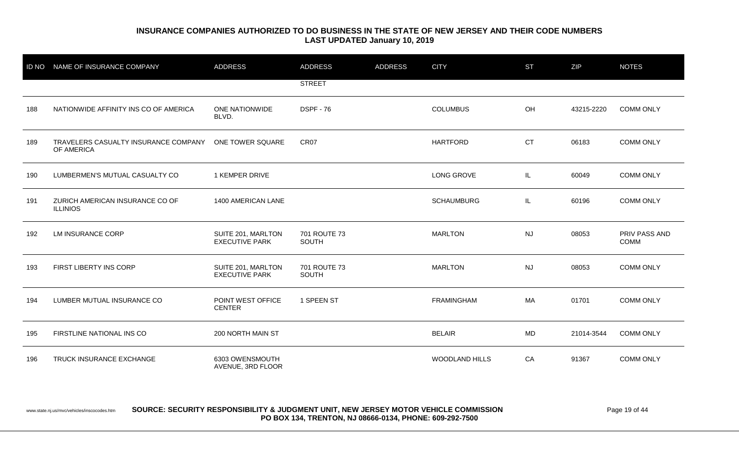| <b>ID NO</b> | NAME OF INSURANCE COMPANY                          | <b>ADDRESS</b>                              | <b>ADDRESS</b>               | <b>ADDRESS</b> | <b>CITY</b>       | <b>ST</b> | <b>ZIP</b> | <b>NOTES</b>                 |
|--------------|----------------------------------------------------|---------------------------------------------|------------------------------|----------------|-------------------|-----------|------------|------------------------------|
|              |                                                    |                                             | <b>STREET</b>                |                |                   |           |            |                              |
| 188          | NATIONWIDE AFFINITY INS CO OF AMERICA              | ONE NATIONWIDE<br>BLVD.                     | <b>DSPF - 76</b>             |                | <b>COLUMBUS</b>   | OH        | 43215-2220 | <b>COMM ONLY</b>             |
| 189          | TRAVELERS CASUALTY INSURANCE COMPANY<br>OF AMERICA | ONE TOWER SQUARE                            | CR07                         |                | <b>HARTFORD</b>   | <b>CT</b> | 06183      | <b>COMM ONLY</b>             |
| 190          | LUMBERMEN'S MUTUAL CASUALTY CO                     | 1 KEMPER DRIVE                              |                              |                | <b>LONG GROVE</b> | IL.       | 60049      | <b>COMM ONLY</b>             |
| 191          | ZURICH AMERICAN INSURANCE CO OF<br><b>ILLINIOS</b> | 1400 AMERICAN LANE                          |                              |                | <b>SCHAUMBURG</b> | IL.       | 60196      | <b>COMM ONLY</b>             |
| 192          | LM INSURANCE CORP                                  | SUITE 201, MARLTON<br><b>EXECUTIVE PARK</b> | 701 ROUTE 73<br><b>SOUTH</b> |                | <b>MARLTON</b>    | NJ        | 08053      | PRIV PASS AND<br><b>COMM</b> |
| 193          | FIRST LIBERTY INS CORP                             | SUITE 201, MARLTON<br><b>EXECUTIVE PARK</b> | 701 ROUTE 73<br><b>SOUTH</b> |                | <b>MARLTON</b>    | NJ        | 08053      | <b>COMM ONLY</b>             |
| 194          | LUMBER MUTUAL INSURANCE CO                         | POINT WEST OFFICE<br><b>CENTER</b>          | 1 SPEEN ST                   |                | <b>FRAMINGHAM</b> | MA        | 01701      | <b>COMM ONLY</b>             |
| 195          | FIRSTLINE NATIONAL INS CO                          | 200 NORTH MAIN ST                           |                              |                | <b>BELAIR</b>     | <b>MD</b> | 21014-3544 | <b>COMM ONLY</b>             |
| 196          | TRUCK INSURANCE EXCHANGE                           | 6303 OWENSMOUTH<br>AVENUE, 3RD FLOOR        |                              |                | WOODLAND HILLS    | CA        | 91367      | <b>COMM ONLY</b>             |

www.state.nj.us/mvc/vehicles/inscocodes.htm **SOURCE: SECURITY RESPONSIBILITY & JUDGMENT UNIT, NEW JERSEY MOTOR VEHICLE COMMISSION** Page 19 of 44 **PO BOX 134, TRENTON, NJ 08666-0134, PHONE: 609-292-7500**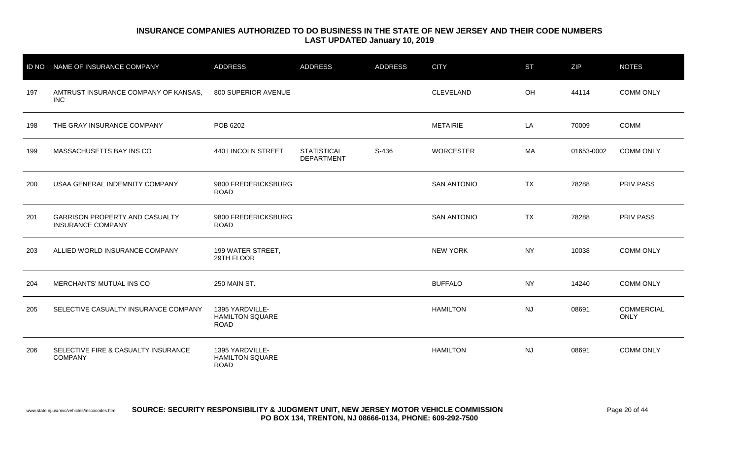| <b>ID NO</b> | NAME OF INSURANCE COMPANY                                         | <b>ADDRESS</b>                                           | <b>ADDRESS</b>                          | ADDRESS | <b>CITY</b>        | <b>ST</b> | ZIP        | <b>NOTES</b>                     |
|--------------|-------------------------------------------------------------------|----------------------------------------------------------|-----------------------------------------|---------|--------------------|-----------|------------|----------------------------------|
| 197          | AMTRUST INSURANCE COMPANY OF KANSAS,<br><b>INC</b>                | 800 SUPERIOR AVENUE                                      |                                         |         | <b>CLEVELAND</b>   | OH        | 44114      | <b>COMM ONLY</b>                 |
| 198          | THE GRAY INSURANCE COMPANY                                        | POB 6202                                                 |                                         |         | <b>METAIRIE</b>    | LA        | 70009      | <b>COMM</b>                      |
| 199          | MASSACHUSETTS BAY INS CO                                          | 440 LINCOLN STREET                                       | <b>STATISTICAL</b><br><b>DEPARTMENT</b> | S-436   | <b>WORCESTER</b>   | MA        | 01653-0002 | <b>COMM ONLY</b>                 |
| 200          | USAA GENERAL INDEMNITY COMPANY                                    | 9800 FREDERICKSBURG<br><b>ROAD</b>                       |                                         |         | <b>SAN ANTONIO</b> | <b>TX</b> | 78288      | <b>PRIV PASS</b>                 |
| 201          | <b>GARRISON PROPERTY AND CASUALTY</b><br><b>INSURANCE COMPANY</b> | 9800 FREDERICKSBURG<br><b>ROAD</b>                       |                                         |         | <b>SAN ANTONIO</b> | <b>TX</b> | 78288      | PRIV PASS                        |
| 203          | ALLIED WORLD INSURANCE COMPANY                                    | 199 WATER STREET,<br>29TH FLOOR                          |                                         |         | <b>NEW YORK</b>    | <b>NY</b> | 10038      | <b>COMM ONLY</b>                 |
| 204          | MERCHANTS' MUTUAL INS CO                                          | 250 MAIN ST.                                             |                                         |         | <b>BUFFALO</b>     | <b>NY</b> | 14240      | <b>COMM ONLY</b>                 |
| 205          | SELECTIVE CASUALTY INSURANCE COMPANY                              | 1395 YARDVILLE-<br><b>HAMILTON SQUARE</b><br><b>ROAD</b> |                                         |         | <b>HAMILTON</b>    | <b>NJ</b> | 08691      | <b>COMMERCIAL</b><br><b>ONLY</b> |
| 206          | SELECTIVE FIRE & CASUALTY INSURANCE<br><b>COMPANY</b>             | 1395 YARDVILLE-<br><b>HAMILTON SQUARE</b><br><b>ROAD</b> |                                         |         | <b>HAMILTON</b>    | <b>NJ</b> | 08691      | <b>COMM ONLY</b>                 |

www.state.nj.us/mvc/vehicles/inscocodes.htm **SOURCE: SECURITY RESPONSIBILITY & JUDGMENT UNIT, NEW JERSEY MOTOR VEHICLE COMMISSION** Page 20 of 44 **PO BOX 134, TRENTON, NJ 08666-0134, PHONE: 609-292-7500**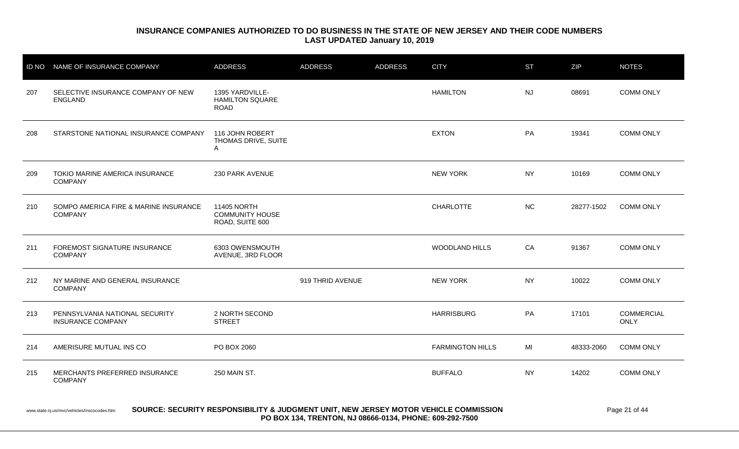| <b>ID NO</b> | NAME OF INSURANCE COMPANY                                  | <b>ADDRESS</b>                                           | <b>ADDRESS</b>   | <b>ADDRESS</b> | <b>CITY</b>             | <b>ST</b> | ZIP        | <b>NOTES</b>                     |
|--------------|------------------------------------------------------------|----------------------------------------------------------|------------------|----------------|-------------------------|-----------|------------|----------------------------------|
| 207          | SELECTIVE INSURANCE COMPANY OF NEW<br><b>ENGLAND</b>       | 1395 YARDVILLE-<br><b>HAMILTON SQUARE</b><br><b>ROAD</b> |                  |                | <b>HAMILTON</b>         | <b>NJ</b> | 08691      | <b>COMM ONLY</b>                 |
| 208          | STARSTONE NATIONAL INSURANCE COMPANY                       | 116 JOHN ROBERT<br>THOMAS DRIVE, SUITE<br>Α              |                  |                | <b>EXTON</b>            | PA        | 19341      | <b>COMM ONLY</b>                 |
| 209          | TOKIO MARINE AMERICA INSURANCE<br><b>COMPANY</b>           | 230 PARK AVENUE                                          |                  |                | <b>NEW YORK</b>         | <b>NY</b> | 10169      | <b>COMM ONLY</b>                 |
| 210          | SOMPO AMERICA FIRE & MARINE INSURANCE<br><b>COMPANY</b>    | 11405 NORTH<br><b>COMMUNITY HOUSE</b><br>ROAD, SUITE 600 |                  |                | <b>CHARLOTTE</b>        | <b>NC</b> | 28277-1502 | <b>COMM ONLY</b>                 |
| 211          | FOREMOST SIGNATURE INSURANCE<br><b>COMPANY</b>             | 6303 OWENSMOUTH<br>AVENUE, 3RD FLOOR                     |                  |                | <b>WOODLAND HILLS</b>   | CA        | 91367      | <b>COMM ONLY</b>                 |
| 212          | NY MARINE AND GENERAL INSURANCE<br><b>COMPANY</b>          |                                                          | 919 THRID AVENUE |                | <b>NEW YORK</b>         | NY.       | 10022      | <b>COMM ONLY</b>                 |
| 213          | PENNSYLVANIA NATIONAL SECURITY<br><b>INSURANCE COMPANY</b> | 2 NORTH SECOND<br><b>STREET</b>                          |                  |                | <b>HARRISBURG</b>       | PA        | 17101      | <b>COMMERCIAL</b><br><b>ONLY</b> |
| 214          | AMERISURE MUTUAL INS CO                                    | PO BOX 2060                                              |                  |                | <b>FARMINGTON HILLS</b> | MI        | 48333-2060 | <b>COMM ONLY</b>                 |
| 215          | MERCHANTS PREFERRED INSURANCE<br><b>COMPANY</b>            | 250 MAIN ST.                                             |                  |                | <b>BUFFALO</b>          | <b>NY</b> | 14202      | <b>COMM ONLY</b>                 |

#### www.state.nj.us/mvc/vehicles/inscocodes.htm **SOURCE: SECURITY RESPONSIBILITY & JUDGMENT UNIT, NEW JERSEY MOTOR VEHICLE COMMISSION** Page 21 of 44 **PO BOX 134, TRENTON, NJ 08666-0134, PHONE: 609-292-7500**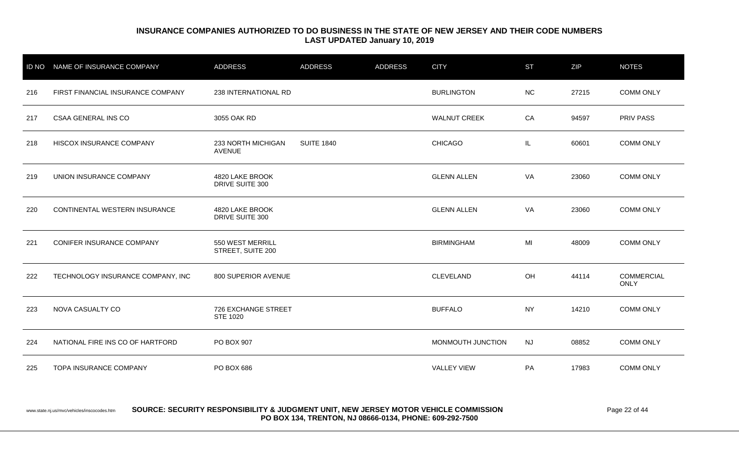| <b>ID NO</b> | NAME OF INSURANCE COMPANY         | <b>ADDRESS</b>                         | <b>ADDRESS</b>    | <b>ADDRESS</b> | <b>CITY</b>         | <b>ST</b> | ZIP   | <b>NOTES</b>                     |
|--------------|-----------------------------------|----------------------------------------|-------------------|----------------|---------------------|-----------|-------|----------------------------------|
| 216          | FIRST FINANCIAL INSURANCE COMPANY | 238 INTERNATIONAL RD                   |                   |                | <b>BURLINGTON</b>   | <b>NC</b> | 27215 | <b>COMM ONLY</b>                 |
| 217          | <b>CSAA GENERAL INS CO</b>        | 3055 OAK RD                            |                   |                | <b>WALNUT CREEK</b> | CA        | 94597 | PRIV PASS                        |
| 218          | HISCOX INSURANCE COMPANY          | 233 NORTH MICHIGAN<br><b>AVENUE</b>    | <b>SUITE 1840</b> |                | <b>CHICAGO</b>      | IL        | 60601 | <b>COMM ONLY</b>                 |
| 219          | UNION INSURANCE COMPANY           | 4820 LAKE BROOK<br>DRIVE SUITE 300     |                   |                | <b>GLENN ALLEN</b>  | VA        | 23060 | <b>COMM ONLY</b>                 |
| 220          | CONTINENTAL WESTERN INSURANCE     | 4820 LAKE BROOK<br>DRIVE SUITE 300     |                   |                | <b>GLENN ALLEN</b>  | VA        | 23060 | <b>COMM ONLY</b>                 |
| 221          | <b>CONIFER INSURANCE COMPANY</b>  | 550 WEST MERRILL<br>STREET, SUITE 200  |                   |                | <b>BIRMINGHAM</b>   | MI        | 48009 | <b>COMM ONLY</b>                 |
| 222          | TECHNOLOGY INSURANCE COMPANY, INC | 800 SUPERIOR AVENUE                    |                   |                | CLEVELAND           | OH        | 44114 | <b>COMMERCIAL</b><br><b>ONLY</b> |
| 223          | NOVA CASUALTY CO                  | <b>726 EXCHANGE STREET</b><br>STE 1020 |                   |                | <b>BUFFALO</b>      | <b>NY</b> | 14210 | <b>COMM ONLY</b>                 |
| 224          | NATIONAL FIRE INS CO OF HARTFORD  | PO BOX 907                             |                   |                | MONMOUTH JUNCTION   | <b>NJ</b> | 08852 | <b>COMM ONLY</b>                 |
| 225          | <b>TOPA INSURANCE COMPANY</b>     | PO BOX 686                             |                   |                | <b>VALLEY VIEW</b>  | PA        | 17983 | <b>COMM ONLY</b>                 |

#### www.state.nj.us/mvc/vehicles/inscocodes.htm **SOURCE: SECURITY RESPONSIBILITY & JUDGMENT UNIT, NEW JERSEY MOTOR VEHICLE COMMISSION** Page 22 of 44 **PO BOX 134, TRENTON, NJ 08666-0134, PHONE: 609-292-7500**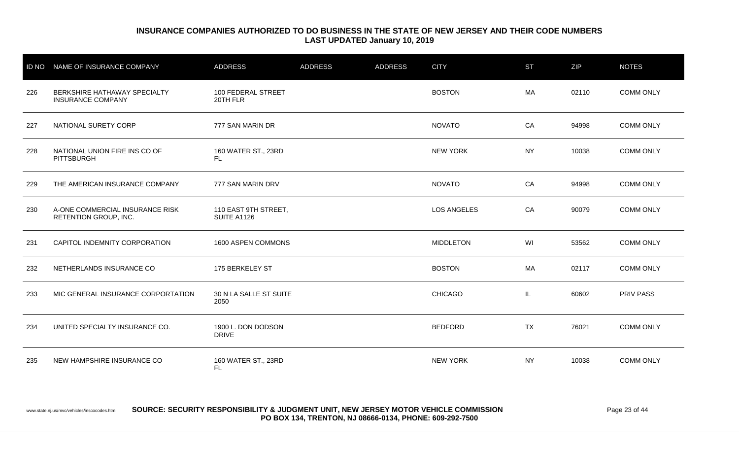| <b>ID NO</b> | NAME OF INSURANCE COMPANY                                | <b>ADDRESS</b>                             | <b>ADDRESS</b> | <b>ADDRESS</b> | <b>CITY</b>        | <b>ST</b> | ZIP   | <b>NOTES</b>     |
|--------------|----------------------------------------------------------|--------------------------------------------|----------------|----------------|--------------------|-----------|-------|------------------|
| 226          | BERKSHIRE HATHAWAY SPECIALTY<br><b>INSURANCE COMPANY</b> | 100 FEDERAL STREET<br>20TH FLR             |                |                | <b>BOSTON</b>      | MA        | 02110 | <b>COMM ONLY</b> |
| 227          | NATIONAL SURETY CORP                                     | 777 SAN MARIN DR                           |                |                | <b>NOVATO</b>      | CA        | 94998 | <b>COMM ONLY</b> |
| 228          | NATIONAL UNION FIRE INS CO OF<br>PITTSBURGH              | 160 WATER ST., 23RD<br>FL.                 |                |                | <b>NEW YORK</b>    | <b>NY</b> | 10038 | <b>COMM ONLY</b> |
| 229          | THE AMERICAN INSURANCE COMPANY                           | 777 SAN MARIN DRV                          |                |                | <b>NOVATO</b>      | CA        | 94998 | <b>COMM ONLY</b> |
| 230          | A-ONE COMMERCIAL INSURANCE RISK<br>RETENTION GROUP, INC. | 110 EAST 9TH STREET,<br><b>SUITE A1126</b> |                |                | <b>LOS ANGELES</b> | CA        | 90079 | <b>COMM ONLY</b> |
| 231          | CAPITOL INDEMNITY CORPORATION                            | 1600 ASPEN COMMONS                         |                |                | <b>MIDDLETON</b>   | WI        | 53562 | <b>COMM ONLY</b> |
| 232          | NETHERLANDS INSURANCE CO                                 | 175 BERKELEY ST                            |                |                | <b>BOSTON</b>      | МA        | 02117 | <b>COMM ONLY</b> |
| 233          | MIC GENERAL INSURANCE CORPORTATION                       | 30 N LA SALLE ST SUITE<br>2050             |                |                | <b>CHICAGO</b>     | IL.       | 60602 | <b>PRIV PASS</b> |
| 234          | UNITED SPECIALTY INSURANCE CO.                           | 1900 L. DON DODSON<br><b>DRIVE</b>         |                |                | <b>BEDFORD</b>     | <b>TX</b> | 76021 | <b>COMM ONLY</b> |
| 235          | NEW HAMPSHIRE INSURANCE CO                               | 160 WATER ST., 23RD<br>FL.                 |                |                | <b>NEW YORK</b>    | <b>NY</b> | 10038 | <b>COMM ONLY</b> |

www.state.nj.us/mvc/vehicles/inscocodes.htm **SOURCE: SECURITY RESPONSIBILITY & JUDGMENT UNIT, NEW JERSEY MOTOR VEHICLE COMMISSION** Page 23 of 44 **PO BOX 134, TRENTON, NJ 08666-0134, PHONE: 609-292-7500**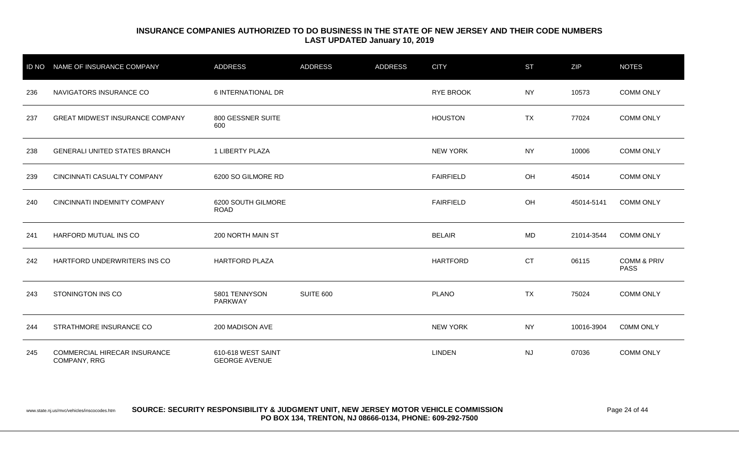| <b>ID NO</b> | NAME OF INSURANCE COMPANY                    | <b>ADDRESS</b>                             | <b>ADDRESS</b>   | <b>ADDRESS</b> | <b>CITY</b>      | <b>ST</b> | ZIP        | <b>NOTES</b>                          |
|--------------|----------------------------------------------|--------------------------------------------|------------------|----------------|------------------|-----------|------------|---------------------------------------|
| 236          | NAVIGATORS INSURANCE CO                      | 6 INTERNATIONAL DR                         |                  |                | <b>RYE BROOK</b> | <b>NY</b> | 10573      | <b>COMM ONLY</b>                      |
| 237          | <b>GREAT MIDWEST INSURANCE COMPANY</b>       | 800 GESSNER SUITE<br>600                   |                  |                | <b>HOUSTON</b>   | <b>TX</b> | 77024      | <b>COMM ONLY</b>                      |
| 238          | <b>GENERALI UNITED STATES BRANCH</b>         | 1 LIBERTY PLAZA                            |                  |                | <b>NEW YORK</b>  | <b>NY</b> | 10006      | <b>COMM ONLY</b>                      |
| 239          | CINCINNATI CASUALTY COMPANY                  | 6200 SO GILMORE RD                         |                  |                | <b>FAIRFIELD</b> | OH        | 45014      | <b>COMM ONLY</b>                      |
| 240          | CINCINNATI INDEMNITY COMPANY                 | 6200 SOUTH GILMORE<br><b>ROAD</b>          |                  |                | <b>FAIRFIELD</b> | OH        | 45014-5141 | <b>COMM ONLY</b>                      |
| 241          | HARFORD MUTUAL INS CO                        | 200 NORTH MAIN ST                          |                  |                | <b>BELAIR</b>    | MD        | 21014-3544 | <b>COMM ONLY</b>                      |
| 242          | HARTFORD UNDERWRITERS INS CO                 | <b>HARTFORD PLAZA</b>                      |                  |                | <b>HARTFORD</b>  | <b>CT</b> | 06115      | <b>COMM &amp; PRIV</b><br><b>PASS</b> |
| 243          | STONINGTON INS CO                            | 5801 TENNYSON<br>PARKWAY                   | <b>SUITE 600</b> |                | <b>PLANO</b>     | <b>TX</b> | 75024      | <b>COMM ONLY</b>                      |
| 244          | STRATHMORE INSURANCE CO                      | 200 MADISON AVE                            |                  |                | <b>NEW YORK</b>  | <b>NY</b> | 10016-3904 | <b>COMM ONLY</b>                      |
| 245          | COMMERCIAL HIRECAR INSURANCE<br>COMPANY, RRG | 610-618 WEST SAINT<br><b>GEORGE AVENUE</b> |                  |                | <b>LINDEN</b>    | <b>NJ</b> | 07036      | <b>COMM ONLY</b>                      |

www.state.nj.us/mvc/vehicles/inscocodes.htm **SOURCE: SECURITY RESPONSIBILITY & JUDGMENT UNIT, NEW JERSEY MOTOR VEHICLE COMMISSION** Page 24 of 44 **PO BOX 134, TRENTON, NJ 08666-0134, PHONE: 609-292-7500**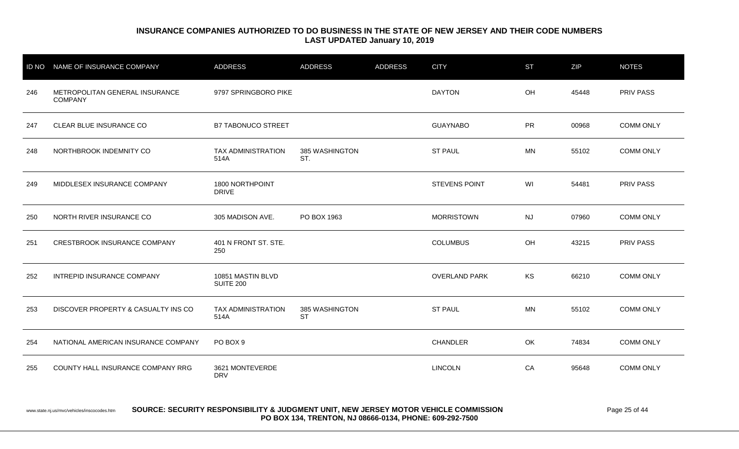| <b>ID NO</b> | NAME OF INSURANCE COMPANY                        | <b>ADDRESS</b>                        | <b>ADDRESS</b>              | <b>ADDRESS</b> | <b>CITY</b>          | <b>ST</b> | ZIP   | <b>NOTES</b>     |
|--------------|--------------------------------------------------|---------------------------------------|-----------------------------|----------------|----------------------|-----------|-------|------------------|
| 246          | METROPOLITAN GENERAL INSURANCE<br><b>COMPANY</b> | 9797 SPRINGBORO PIKE                  |                             |                | <b>DAYTON</b>        | OH        | 45448 | <b>PRIV PASS</b> |
| 247          | CLEAR BLUE INSURANCE CO                          | <b>B7 TABONUCO STREET</b>             |                             |                | <b>GUAYNABO</b>      | <b>PR</b> | 00968 | <b>COMM ONLY</b> |
| 248          | NORTHBROOK INDEMNITY CO                          | <b>TAX ADMINISTRATION</b><br>514A     | 385 WASHINGTON<br>ST.       |                | <b>ST PAUL</b>       | <b>MN</b> | 55102 | <b>COMM ONLY</b> |
| 249          | MIDDLESEX INSURANCE COMPANY                      | 1800 NORTHPOINT<br><b>DRIVE</b>       |                             |                | <b>STEVENS POINT</b> | WI        | 54481 | <b>PRIV PASS</b> |
| 250          | NORTH RIVER INSURANCE CO                         | 305 MADISON AVE.                      | PO BOX 1963                 |                | <b>MORRISTOWN</b>    | <b>NJ</b> | 07960 | <b>COMM ONLY</b> |
| 251          | CRESTBROOK INSURANCE COMPANY                     | 401 N FRONT ST. STE.<br>250           |                             |                | <b>COLUMBUS</b>      | OH        | 43215 | PRIV PASS        |
| 252          | INTREPID INSURANCE COMPANY                       | 10851 MASTIN BLVD<br><b>SUITE 200</b> |                             |                | <b>OVERLAND PARK</b> | <b>KS</b> | 66210 | <b>COMM ONLY</b> |
| 253          | DISCOVER PROPERTY & CASUALTY INS CO              | TAX ADMINISTRATION<br>514A            | 385 WASHINGTON<br><b>ST</b> |                | <b>ST PAUL</b>       | <b>MN</b> | 55102 | <b>COMM ONLY</b> |
| 254          | NATIONAL AMERICAN INSURANCE COMPANY              | PO BOX 9                              |                             |                | <b>CHANDLER</b>      | OK        | 74834 | <b>COMM ONLY</b> |
| 255          | COUNTY HALL INSURANCE COMPANY RRG                | 3621 MONTEVERDE<br><b>DRV</b>         |                             |                | <b>LINCOLN</b>       | CA        | 95648 | <b>COMM ONLY</b> |

#### www.state.nj.us/mvc/vehicles/inscocodes.htm **SOURCE: SECURITY RESPONSIBILITY & JUDGMENT UNIT, NEW JERSEY MOTOR VEHICLE COMMISSION** Page 25 of 44 **PO BOX 134, TRENTON, NJ 08666-0134, PHONE: 609-292-7500**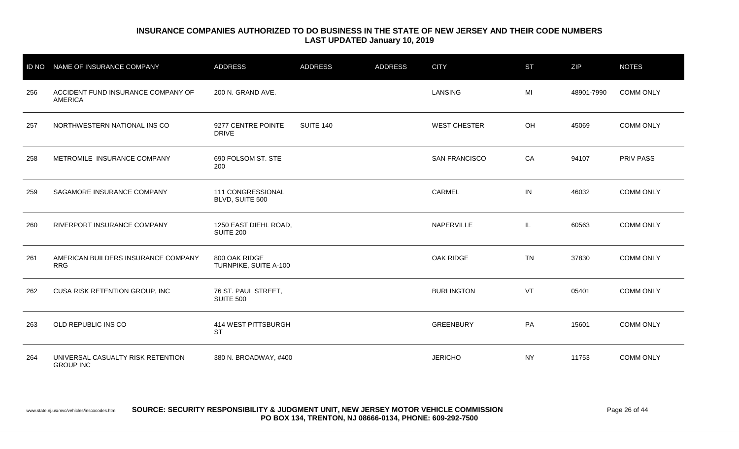| <b>ID NO</b> | NAME OF INSURANCE COMPANY                             | <b>ADDRESS</b>                            | <b>ADDRESS</b> | <b>ADDRESS</b> | <b>CITY</b>          | <b>ST</b> | ZIP        | <b>NOTES</b>     |
|--------------|-------------------------------------------------------|-------------------------------------------|----------------|----------------|----------------------|-----------|------------|------------------|
| 256          | ACCIDENT FUND INSURANCE COMPANY OF<br><b>AMERICA</b>  | 200 N. GRAND AVE.                         |                |                | <b>LANSING</b>       | MI        | 48901-7990 | <b>COMM ONLY</b> |
| 257          | NORTHWESTERN NATIONAL INS CO                          | 9277 CENTRE POINTE<br><b>DRIVE</b>        | SUITE 140      |                | <b>WEST CHESTER</b>  | OH        | 45069      | <b>COMM ONLY</b> |
| 258          | METROMILE INSURANCE COMPANY                           | 690 FOLSOM ST. STE<br>200                 |                |                | <b>SAN FRANCISCO</b> | CA        | 94107      | <b>PRIV PASS</b> |
| 259          | SAGAMORE INSURANCE COMPANY                            | 111 CONGRESSIONAL<br>BLVD, SUITE 500      |                |                | CARMEL               | IN        | 46032      | <b>COMM ONLY</b> |
| 260          | RIVERPORT INSURANCE COMPANY                           | 1250 EAST DIEHL ROAD,<br><b>SUITE 200</b> |                |                | NAPERVILLE           | IL.       | 60563      | <b>COMM ONLY</b> |
| 261          | AMERICAN BUILDERS INSURANCE COMPANY<br><b>RRG</b>     | 800 OAK RIDGE<br>TURNPIKE, SUITE A-100    |                |                | OAK RIDGE            | <b>TN</b> | 37830      | <b>COMM ONLY</b> |
| 262          | CUSA RISK RETENTION GROUP, INC                        | 76 ST. PAUL STREET,<br><b>SUITE 500</b>   |                |                | <b>BURLINGTON</b>    | VT        | 05401      | <b>COMM ONLY</b> |
| 263          | OLD REPUBLIC INS CO                                   | 414 WEST PITTSBURGH<br><b>ST</b>          |                |                | <b>GREENBURY</b>     | PA        | 15601      | <b>COMM ONLY</b> |
| 264          | UNIVERSAL CASUALTY RISK RETENTION<br><b>GROUP INC</b> | 380 N. BROADWAY, #400                     |                |                | <b>JERICHO</b>       | <b>NY</b> | 11753      | <b>COMM ONLY</b> |

www.state.nj.us/mvc/vehicles/inscocodes.htm **SOURCE: SECURITY RESPONSIBILITY & JUDGMENT UNIT, NEW JERSEY MOTOR VEHICLE COMMISSION** Page 26 of 44 **PO BOX 134, TRENTON, NJ 08666-0134, PHONE: 609-292-7500**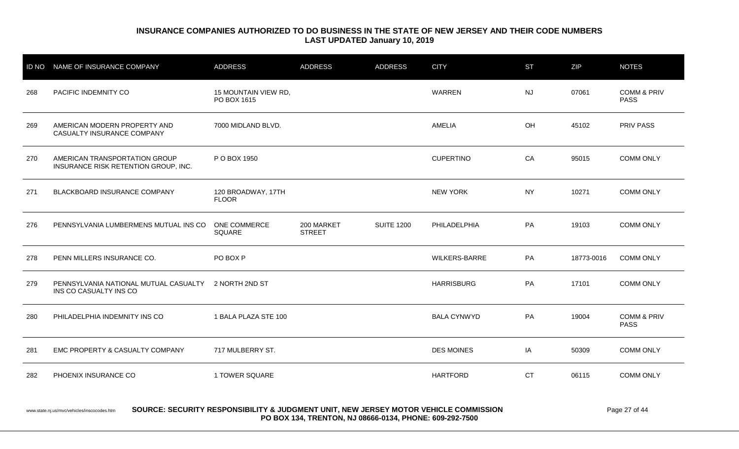|     | ID NO NAME OF INSURANCE COMPANY                                                | <b>ADDRESS</b>                      | <b>ADDRESS</b>              | <b>ADDRESS</b>    | <b>CITY</b>          | <b>ST</b> | ZIP        | <b>NOTES</b>                          |
|-----|--------------------------------------------------------------------------------|-------------------------------------|-----------------------------|-------------------|----------------------|-----------|------------|---------------------------------------|
| 268 | PACIFIC INDEMNITY CO                                                           | 15 MOUNTAIN VIEW RD,<br>PO BOX 1615 |                             |                   | <b>WARREN</b>        | <b>NJ</b> | 07061      | <b>COMM &amp; PRIV</b><br><b>PASS</b> |
| 269 | AMERICAN MODERN PROPERTY AND<br>CASUALTY INSURANCE COMPANY                     | 7000 MIDLAND BLVD.                  |                             |                   | AMELIA               | OH        | 45102      | <b>PRIV PASS</b>                      |
| 270 | AMERICAN TRANSPORTATION GROUP<br>INSURANCE RISK RETENTION GROUP, INC.          | P O BOX 1950                        |                             |                   | <b>CUPERTINO</b>     | CA        | 95015      | <b>COMM ONLY</b>                      |
| 271 | BLACKBOARD INSURANCE COMPANY                                                   | 120 BROADWAY, 17TH<br><b>FLOOR</b>  |                             |                   | <b>NEW YORK</b>      | <b>NY</b> | 10271      | <b>COMM ONLY</b>                      |
| 276 | PENNSYLVANIA LUMBERMENS MUTUAL INS CO                                          | ONE COMMERCE<br>SQUARE              | 200 MARKET<br><b>STREET</b> | <b>SUITE 1200</b> | PHILADELPHIA         | PA        | 19103      | <b>COMM ONLY</b>                      |
| 278 | PENN MILLERS INSURANCE CO.                                                     | PO BOX P                            |                             |                   | <b>WILKERS-BARRE</b> | PA        | 18773-0016 | <b>COMM ONLY</b>                      |
| 279 | PENNSYLVANIA NATIONAL MUTUAL CASUALTY 2 NORTH 2ND ST<br>INS CO CASUALTY INS CO |                                     |                             |                   | <b>HARRISBURG</b>    | PA        | 17101      | <b>COMM ONLY</b>                      |
| 280 | PHILADELPHIA INDEMNITY INS CO                                                  | 1 BALA PLAZA STE 100                |                             |                   | <b>BALA CYNWYD</b>   | PA        | 19004      | <b>COMM &amp; PRIV</b><br><b>PASS</b> |
| 281 | EMC PROPERTY & CASUALTY COMPANY                                                | 717 MULBERRY ST.                    |                             |                   | <b>DES MOINES</b>    | IA        | 50309      | <b>COMM ONLY</b>                      |
| 282 | PHOENIX INSURANCE CO                                                           | 1 TOWER SQUARE                      |                             |                   | <b>HARTFORD</b>      | <b>CT</b> | 06115      | <b>COMM ONLY</b>                      |

#### www.state.nj.us/mvc/vehicles/inscocodes.htm **SOURCE: SECURITY RESPONSIBILITY & JUDGMENT UNIT, NEW JERSEY MOTOR VEHICLE COMMISSION** Page 27 of 44 **PO BOX 134, TRENTON, NJ 08666-0134, PHONE: 609-292-7500**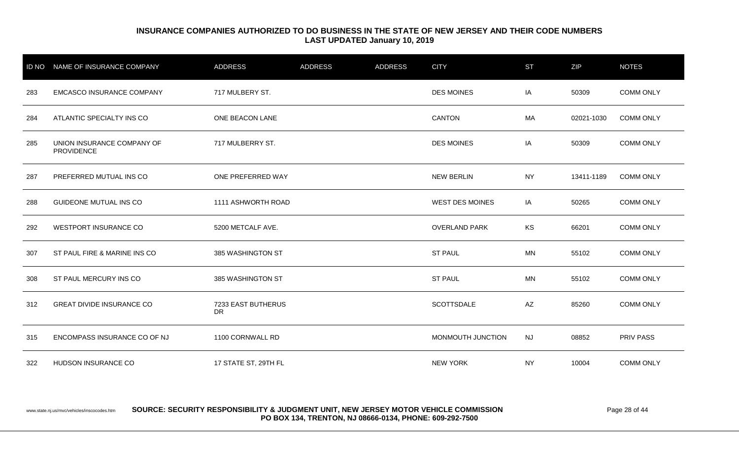| <b>ID NO</b> | NAME OF INSURANCE COMPANY                       | <b>ADDRESS</b>           | <b>ADDRESS</b> | <b>ADDRESS</b> | <b>CITY</b>            | <b>ST</b> | ZIP        | <b>NOTES</b>     |
|--------------|-------------------------------------------------|--------------------------|----------------|----------------|------------------------|-----------|------------|------------------|
| 283          | <b>EMCASCO INSURANCE COMPANY</b>                | 717 MULBERY ST.          |                |                | <b>DES MOINES</b>      | IA        | 50309      | <b>COMM ONLY</b> |
| 284          | ATLANTIC SPECIALTY INS CO                       | ONE BEACON LANE          |                |                | <b>CANTON</b>          | MA        | 02021-1030 | <b>COMM ONLY</b> |
| 285          | UNION INSURANCE COMPANY OF<br><b>PROVIDENCE</b> | 717 MULBERRY ST.         |                |                | <b>DES MOINES</b>      | IA        | 50309      | <b>COMM ONLY</b> |
| 287          | PREFERRED MUTUAL INS CO                         | ONE PREFERRED WAY        |                |                | <b>NEW BERLIN</b>      | <b>NY</b> | 13411-1189 | <b>COMM ONLY</b> |
| 288          | <b>GUIDEONE MUTUAL INS CO</b>                   | 1111 ASHWORTH ROAD       |                |                | <b>WEST DES MOINES</b> | IA        | 50265      | <b>COMM ONLY</b> |
| 292          | WESTPORT INSURANCE CO                           | 5200 METCALF AVE.        |                |                | <b>OVERLAND PARK</b>   | KS        | 66201      | <b>COMM ONLY</b> |
| 307          | ST PAUL FIRE & MARINE INS CO                    | 385 WASHINGTON ST        |                |                | <b>ST PAUL</b>         | <b>MN</b> | 55102      | <b>COMM ONLY</b> |
| 308          | ST PAUL MERCURY INS CO                          | 385 WASHINGTON ST        |                |                | <b>ST PAUL</b>         | <b>MN</b> | 55102      | <b>COMM ONLY</b> |
| 312          | <b>GREAT DIVIDE INSURANCE CO</b>                | 7233 EAST BUTHERUS<br>DR |                |                | <b>SCOTTSDALE</b>      | AZ        | 85260      | <b>COMM ONLY</b> |
| 315          | ENCOMPASS INSURANCE CO OF NJ                    | 1100 CORNWALL RD         |                |                | MONMOUTH JUNCTION      | <b>NJ</b> | 08852      | <b>PRIV PASS</b> |
| 322          | HUDSON INSURANCE CO                             | 17 STATE ST, 29TH FL     |                |                | <b>NEW YORK</b>        | <b>NY</b> | 10004      | <b>COMM ONLY</b> |

www.state.nj.us/mvc/vehicles/inscocodes.htm **SOURCE: SECURITY RESPONSIBILITY & JUDGMENT UNIT, NEW JERSEY MOTOR VEHICLE COMMISSION** Page 28 of 44 **PO BOX 134, TRENTON, NJ 08666-0134, PHONE: 609-292-7500**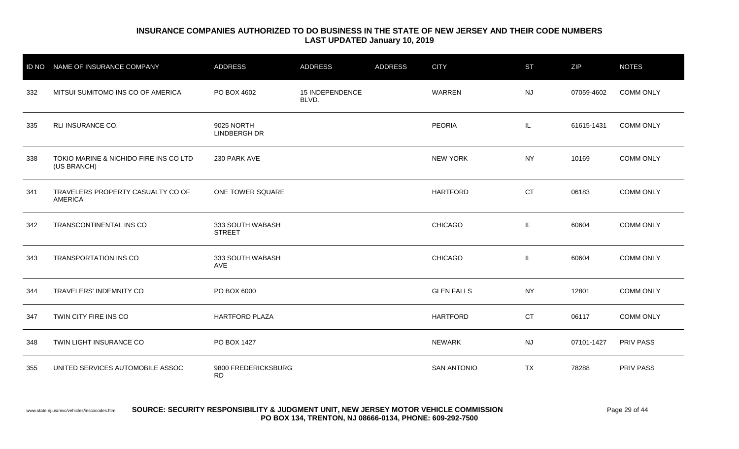| <b>ID NO</b> | NAME OF INSURANCE COMPANY                             | ADDRESS                           | <b>ADDRESS</b>                  | <b>ADDRESS</b> | <b>CITY</b>        | <b>ST</b> | ZIP        | <b>NOTES</b>     |
|--------------|-------------------------------------------------------|-----------------------------------|---------------------------------|----------------|--------------------|-----------|------------|------------------|
| 332          | MITSUI SUMITOMO INS CO OF AMERICA                     | PO BOX 4602                       | <b>15 INDEPENDENCE</b><br>BLVD. |                | WARREN             | <b>NJ</b> | 07059-4602 | <b>COMM ONLY</b> |
| 335          | RLI INSURANCE CO.                                     | 9025 NORTH<br><b>LINDBERGH DR</b> |                                 |                | <b>PEORIA</b>      | IL.       | 61615-1431 | <b>COMM ONLY</b> |
| 338          | TOKIO MARINE & NICHIDO FIRE INS CO LTD<br>(US BRANCH) | 230 PARK AVE                      |                                 |                | <b>NEW YORK</b>    | <b>NY</b> | 10169      | <b>COMM ONLY</b> |
| 341          | TRAVELERS PROPERTY CASUALTY CO OF<br><b>AMERICA</b>   | ONE TOWER SQUARE                  |                                 |                | <b>HARTFORD</b>    | <b>CT</b> | 06183      | <b>COMM ONLY</b> |
| 342          | TRANSCONTINENTAL INS CO                               | 333 SOUTH WABASH<br><b>STREET</b> |                                 |                | <b>CHICAGO</b>     | IL        | 60604      | <b>COMM ONLY</b> |
| 343          | <b>TRANSPORTATION INS CO</b>                          | 333 SOUTH WABASH<br>AVE           |                                 |                | <b>CHICAGO</b>     | IL.       | 60604      | <b>COMM ONLY</b> |
| 344          | TRAVELERS' INDEMNITY CO                               | PO BOX 6000                       |                                 |                | <b>GLEN FALLS</b>  | <b>NY</b> | 12801      | <b>COMM ONLY</b> |
| 347          | TWIN CITY FIRE INS CO                                 | <b>HARTFORD PLAZA</b>             |                                 |                | <b>HARTFORD</b>    | <b>CT</b> | 06117      | <b>COMM ONLY</b> |
| 348          | TWIN LIGHT INSURANCE CO                               | PO BOX 1427                       |                                 |                | <b>NEWARK</b>      | <b>NJ</b> | 07101-1427 | <b>PRIV PASS</b> |
| 355          | UNITED SERVICES AUTOMOBILE ASSOC                      | 9800 FREDERICKSBURG<br><b>RD</b>  |                                 |                | <b>SAN ANTONIO</b> | <b>TX</b> | 78288      | PRIV PASS        |

www.state.nj.us/mvc/vehicles/inscocodes.htm **SOURCE: SECURITY RESPONSIBILITY & JUDGMENT UNIT, NEW JERSEY MOTOR VEHICLE COMMISSION** Page 29 of 44 **PO BOX 134, TRENTON, NJ 08666-0134, PHONE: 609-292-7500**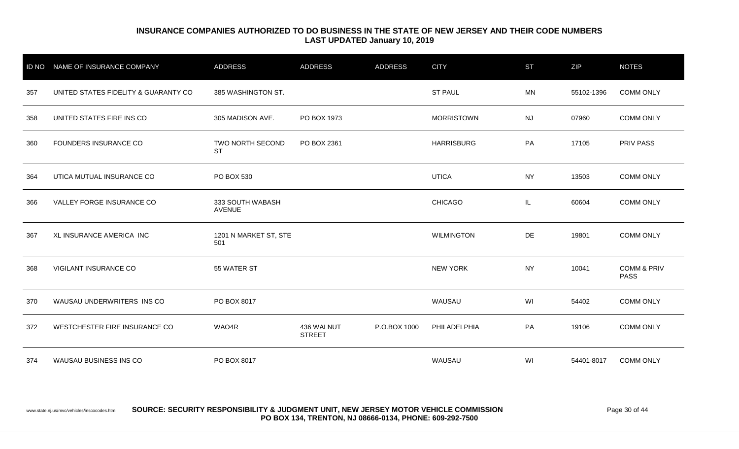|     | ID NO NAME OF INSURANCE COMPANY      | <b>ADDRESS</b>                    | <b>ADDRESS</b>              | <b>ADDRESS</b> | <b>CITY</b>       | <b>ST</b> | ZIP        | <b>NOTES</b>                          |
|-----|--------------------------------------|-----------------------------------|-----------------------------|----------------|-------------------|-----------|------------|---------------------------------------|
| 357 | UNITED STATES FIDELITY & GUARANTY CO | 385 WASHINGTON ST.                |                             |                | <b>ST PAUL</b>    | <b>MN</b> | 55102-1396 | <b>COMM ONLY</b>                      |
| 358 | UNITED STATES FIRE INS CO            | 305 MADISON AVE.                  | PO BOX 1973                 |                | <b>MORRISTOWN</b> | <b>NJ</b> | 07960      | <b>COMM ONLY</b>                      |
| 360 | FOUNDERS INSURANCE CO                | TWO NORTH SECOND<br><b>ST</b>     | PO BOX 2361                 |                | <b>HARRISBURG</b> | PA        | 17105      | <b>PRIV PASS</b>                      |
| 364 | UTICA MUTUAL INSURANCE CO            | PO BOX 530                        |                             |                | <b>UTICA</b>      | <b>NY</b> | 13503      | <b>COMM ONLY</b>                      |
| 366 | VALLEY FORGE INSURANCE CO            | 333 SOUTH WABASH<br><b>AVENUE</b> |                             |                | <b>CHICAGO</b>    | IL        | 60604      | <b>COMM ONLY</b>                      |
| 367 | XL INSURANCE AMERICA INC             | 1201 N MARKET ST, STE<br>501      |                             |                | <b>WILMINGTON</b> | DE        | 19801      | <b>COMM ONLY</b>                      |
| 368 | VIGILANT INSURANCE CO                | 55 WATER ST                       |                             |                | <b>NEW YORK</b>   | <b>NY</b> | 10041      | <b>COMM &amp; PRIV</b><br><b>PASS</b> |
| 370 | WAUSAU UNDERWRITERS INS CO           | PO BOX 8017                       |                             |                | WAUSAU            | WI        | 54402      | <b>COMM ONLY</b>                      |
| 372 | WESTCHESTER FIRE INSURANCE CO        | WAO4R                             | 436 WALNUT<br><b>STREET</b> | P.O.BOX 1000   | PHILADELPHIA      | PA        | 19106      | <b>COMM ONLY</b>                      |
| 374 | WAUSAU BUSINESS INS CO               | PO BOX 8017                       |                             |                | WAUSAU            | WI        | 54401-8017 | <b>COMM ONLY</b>                      |

www.state.nj.us/mvc/vehicles/inscocodes.htm **SOURCE: SECURITY RESPONSIBILITY & JUDGMENT UNIT, NEW JERSEY MOTOR VEHICLE COMMISSION** Page 30 of 44 **PO BOX 134, TRENTON, NJ 08666-0134, PHONE: 609-292-7500**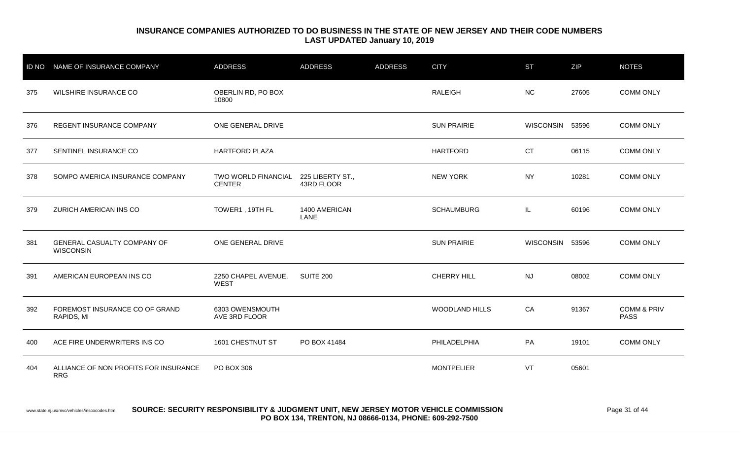| <b>ID NO</b> | NAME OF INSURANCE COMPANY                              | <b>ADDRESS</b>                       | <b>ADDRESS</b>                 | <b>ADDRESS</b> | <b>CITY</b>        | <b>ST</b>       | ZIP   | <b>NOTES</b>                          |
|--------------|--------------------------------------------------------|--------------------------------------|--------------------------------|----------------|--------------------|-----------------|-------|---------------------------------------|
| 375          | WILSHIRE INSURANCE CO                                  | OBERLIN RD, PO BOX<br>10800          |                                |                | <b>RALEIGH</b>     | <b>NC</b>       | 27605 | <b>COMM ONLY</b>                      |
| 376          | REGENT INSURANCE COMPANY                               | ONE GENERAL DRIVE                    |                                |                | <b>SUN PRAIRIE</b> | WISCONSIN 53596 |       | <b>COMM ONLY</b>                      |
| 377          | SENTINEL INSURANCE CO                                  | <b>HARTFORD PLAZA</b>                |                                |                | <b>HARTFORD</b>    | <b>CT</b>       | 06115 | <b>COMM ONLY</b>                      |
| 378          | SOMPO AMERICA INSURANCE COMPANY                        | TWO WORLD FINANCIAL<br><b>CENTER</b> | 225 LIBERTY ST.,<br>43RD FLOOR |                | <b>NEW YORK</b>    | <b>NY</b>       | 10281 | <b>COMM ONLY</b>                      |
| 379          | ZURICH AMERICAN INS CO                                 | TOWER1, 19TH FL                      | 1400 AMERICAN<br>LANE          |                | <b>SCHAUMBURG</b>  | IL.             | 60196 | <b>COMM ONLY</b>                      |
| 381          | <b>GENERAL CASUALTY COMPANY OF</b><br><b>WISCONSIN</b> | ONE GENERAL DRIVE                    |                                |                | <b>SUN PRAIRIE</b> | WISCONSIN 53596 |       | <b>COMM ONLY</b>                      |
| 391          | AMERICAN EUROPEAN INS CO                               | 2250 CHAPEL AVENUE,<br><b>WEST</b>   | <b>SUITE 200</b>               |                | CHERRY HILL        | <b>NJ</b>       | 08002 | <b>COMM ONLY</b>                      |
| 392          | FOREMOST INSURANCE CO OF GRAND<br>RAPIDS, MI           | 6303 OWENSMOUTH<br>AVE 3RD FLOOR     |                                |                | WOODLAND HILLS     | CA              | 91367 | <b>COMM &amp; PRIV</b><br><b>PASS</b> |
| 400          | ACE FIRE UNDERWRITERS INS CO                           | 1601 CHESTNUT ST                     | PO BOX 41484                   |                | PHILADELPHIA       | PA              | 19101 | <b>COMM ONLY</b>                      |
| 404          | ALLIANCE OF NON PROFITS FOR INSURANCE<br><b>RRG</b>    | PO BOX 306                           |                                |                | <b>MONTPELIER</b>  | VT              | 05601 |                                       |

#### www.state.nj.us/mvc/vehicles/inscocodes.htm **SOURCE: SECURITY RESPONSIBILITY & JUDGMENT UNIT, NEW JERSEY MOTOR VEHICLE COMMISSION** Page 31 of 44 **PO BOX 134, TRENTON, NJ 08666-0134, PHONE: 609-292-7500**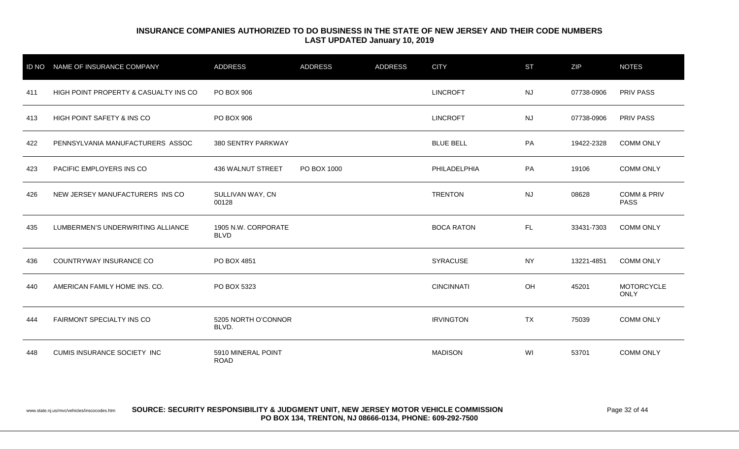|     | ID NO NAME OF INSURANCE COMPANY       | <b>ADDRESS</b>                     | <b>ADDRESS</b> | <b>ADDRESS</b> | <b>CITY</b>       | <b>ST</b> | ZIP        | <b>NOTES</b>                          |
|-----|---------------------------------------|------------------------------------|----------------|----------------|-------------------|-----------|------------|---------------------------------------|
| 411 | HIGH POINT PROPERTY & CASUALTY INS CO | PO BOX 906                         |                |                | <b>LINCROFT</b>   | <b>NJ</b> | 07738-0906 | <b>PRIV PASS</b>                      |
| 413 | HIGH POINT SAFETY & INS CO            | PO BOX 906                         |                |                | <b>LINCROFT</b>   | <b>NJ</b> | 07738-0906 | <b>PRIV PASS</b>                      |
| 422 | PENNSYLVANIA MANUFACTURERS ASSOC      | 380 SENTRY PARKWAY                 |                |                | <b>BLUE BELL</b>  | PA        | 19422-2328 | <b>COMM ONLY</b>                      |
| 423 | PACIFIC EMPLOYERS INS CO              | 436 WALNUT STREET                  | PO BOX 1000    |                | PHILADELPHIA      | PA        | 19106      | <b>COMM ONLY</b>                      |
| 426 | NEW JERSEY MANUFACTURERS INS CO       | SULLIVAN WAY, CN<br>00128          |                |                | <b>TRENTON</b>    | <b>NJ</b> | 08628      | <b>COMM &amp; PRIV</b><br><b>PASS</b> |
| 435 | LUMBERMEN'S UNDERWRITING ALLIANCE     | 1905 N.W. CORPORATE<br><b>BLVD</b> |                |                | <b>BOCA RATON</b> | FL.       | 33431-7303 | <b>COMM ONLY</b>                      |
| 436 | COUNTRYWAY INSURANCE CO               | PO BOX 4851                        |                |                | <b>SYRACUSE</b>   | <b>NY</b> | 13221-4851 | <b>COMM ONLY</b>                      |
| 440 | AMERICAN FAMILY HOME INS. CO.         | PO BOX 5323                        |                |                | <b>CINCINNATI</b> | OH        | 45201      | <b>MOTORCYCLE</b><br><b>ONLY</b>      |
| 444 | FAIRMONT SPECIALTY INS CO             | 5205 NORTH O'CONNOR<br>BLVD.       |                |                | <b>IRVINGTON</b>  | <b>TX</b> | 75039      | <b>COMM ONLY</b>                      |
| 448 | CUMIS INSURANCE SOCIETY INC           | 5910 MINERAL POINT<br><b>ROAD</b>  |                |                | <b>MADISON</b>    | WI        | 53701      | <b>COMM ONLY</b>                      |

www.state.nj.us/mvc/vehicles/inscocodes.htm **SOURCE: SECURITY RESPONSIBILITY & JUDGMENT UNIT, NEW JERSEY MOTOR VEHICLE COMMISSION** Page 32 of 44 **PO BOX 134, TRENTON, NJ 08666-0134, PHONE: 609-292-7500**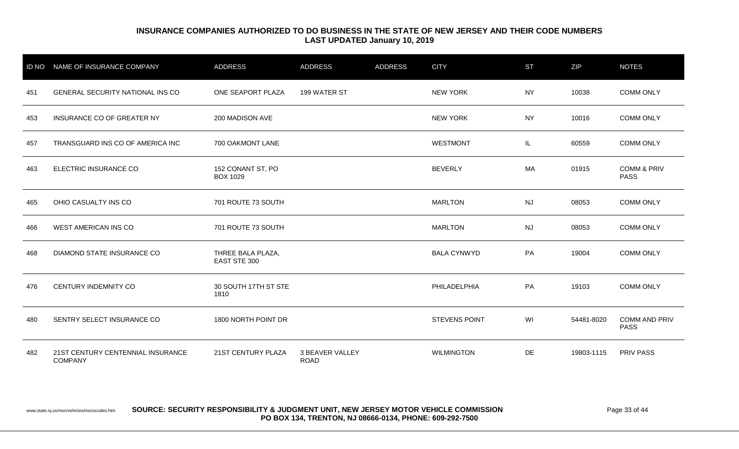|     | ID NO NAME OF INSURANCE COMPANY                     | ADDRESS                              | <b>ADDRESS</b>                 | <b>ADDRESS</b> | <b>CITY</b>          | <b>ST</b> | ZIP        | <b>NOTES</b>                          |
|-----|-----------------------------------------------------|--------------------------------------|--------------------------------|----------------|----------------------|-----------|------------|---------------------------------------|
| 451 | <b>GENERAL SECURITY NATIONAL INS CO</b>             | ONE SEAPORT PLAZA                    | 199 WATER ST                   |                | <b>NEW YORK</b>      | <b>NY</b> | 10038      | <b>COMM ONLY</b>                      |
| 453 | INSURANCE CO OF GREATER NY                          | 200 MADISON AVE                      |                                |                | <b>NEW YORK</b>      | NY        | 10016      | <b>COMM ONLY</b>                      |
| 457 | TRANSGUARD INS CO OF AMERICA INC                    | 700 OAKMONT LANE                     |                                |                | <b>WESTMONT</b>      | IL.       | 60559      | <b>COMM ONLY</b>                      |
| 463 | ELECTRIC INSURANCE CO                               | 152 CONANT ST, PO<br><b>BOX 1029</b> |                                |                | <b>BEVERLY</b>       | MA        | 01915      | <b>COMM &amp; PRIV</b><br><b>PASS</b> |
| 465 | OHIO CASUALTY INS CO                                | 701 ROUTE 73 SOUTH                   |                                |                | <b>MARLTON</b>       | <b>NJ</b> | 08053      | <b>COMM ONLY</b>                      |
| 466 | <b>WEST AMERICAN INS CO</b>                         | 701 ROUTE 73 SOUTH                   |                                |                | <b>MARLTON</b>       | <b>NJ</b> | 08053      | <b>COMM ONLY</b>                      |
| 468 | DIAMOND STATE INSURANCE CO                          | THREE BALA PLAZA,<br>EAST STE 300    |                                |                | <b>BALA CYNWYD</b>   | PA        | 19004      | <b>COMM ONLY</b>                      |
| 476 | CENTURY INDEMNITY CO                                | 30 SOUTH 17TH ST STE<br>1810         |                                |                | PHILADELPHIA         | PA        | 19103      | <b>COMM ONLY</b>                      |
| 480 | SENTRY SELECT INSURANCE CO                          | 1800 NORTH POINT DR                  |                                |                | <b>STEVENS POINT</b> | WI        | 54481-8020 | <b>COMM AND PRIV</b><br><b>PASS</b>   |
| 482 | 21ST CENTURY CENTENNIAL INSURANCE<br><b>COMPANY</b> | 21ST CENTURY PLAZA                   | 3 BEAVER VALLEY<br><b>ROAD</b> |                | <b>WILMINGTON</b>    | DE        | 19803-1115 | <b>PRIV PASS</b>                      |

#### www.state.nj.us/mvc/vehicles/inscocodes.htm **SOURCE: SECURITY RESPONSIBILITY & JUDGMENT UNIT, NEW JERSEY MOTOR VEHICLE COMMISSION** Page 33 of 44 **PO BOX 134, TRENTON, NJ 08666-0134, PHONE: 609-292-7500**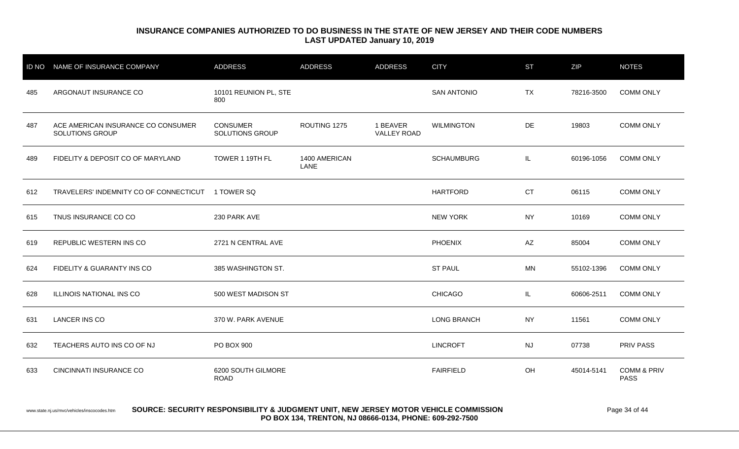|     | ID NO NAME OF INSURANCE COMPANY                       | <b>ADDRESS</b>                            | <b>ADDRESS</b>        | <b>ADDRESS</b>                 | <b>CITY</b>        | <b>ST</b> | <b>ZIP</b> | <b>NOTES</b>                          |
|-----|-------------------------------------------------------|-------------------------------------------|-----------------------|--------------------------------|--------------------|-----------|------------|---------------------------------------|
| 485 | ARGONAUT INSURANCE CO                                 | 10101 REUNION PL, STE<br>800              |                       |                                | <b>SAN ANTONIO</b> | <b>TX</b> | 78216-3500 | <b>COMM ONLY</b>                      |
| 487 | ACE AMERICAN INSURANCE CO CONSUMER<br>SOLUTIONS GROUP | <b>CONSUMER</b><br><b>SOLUTIONS GROUP</b> | ROUTING 1275          | 1 BEAVER<br><b>VALLEY ROAD</b> | <b>WILMINGTON</b>  | DE        | 19803      | <b>COMM ONLY</b>                      |
| 489 | FIDELITY & DEPOSIT CO OF MARYLAND                     | TOWER 1 19TH FL                           | 1400 AMERICAN<br>LANE |                                | <b>SCHAUMBURG</b>  | IL.       | 60196-1056 | <b>COMM ONLY</b>                      |
| 612 | TRAVELERS' INDEMNITY CO OF CONNECTICUT 1 TOWER SQ     |                                           |                       |                                | <b>HARTFORD</b>    | <b>CT</b> | 06115      | <b>COMM ONLY</b>                      |
| 615 | TNUS INSURANCE CO CO                                  | 230 PARK AVE                              |                       |                                | <b>NEW YORK</b>    | <b>NY</b> | 10169      | <b>COMM ONLY</b>                      |
| 619 | REPUBLIC WESTERN INS CO                               | 2721 N CENTRAL AVE                        |                       |                                | <b>PHOENIX</b>     | AZ        | 85004      | <b>COMM ONLY</b>                      |
| 624 | FIDELITY & GUARANTY INS CO                            | 385 WASHINGTON ST.                        |                       |                                | <b>ST PAUL</b>     | <b>MN</b> | 55102-1396 | <b>COMM ONLY</b>                      |
| 628 | ILLINOIS NATIONAL INS CO                              | 500 WEST MADISON ST                       |                       |                                | <b>CHICAGO</b>     | IL.       | 60606-2511 | <b>COMM ONLY</b>                      |
| 631 | <b>LANCER INS CO</b>                                  | 370 W. PARK AVENUE                        |                       |                                | <b>LONG BRANCH</b> | <b>NY</b> | 11561      | <b>COMM ONLY</b>                      |
| 632 | TEACHERS AUTO INS CO OF NJ                            | PO BOX 900                                |                       |                                | <b>LINCROFT</b>    | <b>NJ</b> | 07738      | PRIV PASS                             |
| 633 | <b>CINCINNATI INSURANCE CO</b>                        | 6200 SOUTH GILMORE<br><b>ROAD</b>         |                       |                                | <b>FAIRFIELD</b>   | OH        | 45014-5141 | <b>COMM &amp; PRIV</b><br><b>PASS</b> |

#### www.state.nj.us/mvc/vehicles/inscocodes.htm **SOURCE: SECURITY RESPONSIBILITY & JUDGMENT UNIT, NEW JERSEY MOTOR VEHICLE COMMISSION** Page 34 of 44 **PO BOX 134, TRENTON, NJ 08666-0134, PHONE: 609-292-7500**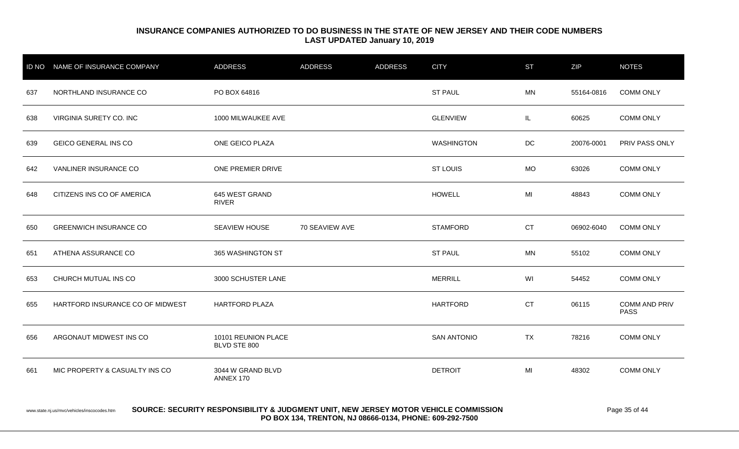| <b>ID NO</b> | NAME OF INSURANCE COMPANY        | ADDRESS                             | ADDRESS        | <b>ADDRESS</b> | <b>CITY</b>        | <b>ST</b> | ZIP        | <b>NOTES</b>                        |
|--------------|----------------------------------|-------------------------------------|----------------|----------------|--------------------|-----------|------------|-------------------------------------|
| 637          | NORTHLAND INSURANCE CO           | PO BOX 64816                        |                |                | <b>ST PAUL</b>     | <b>MN</b> | 55164-0816 | <b>COMM ONLY</b>                    |
| 638          | VIRGINIA SURETY CO. INC          | 1000 MILWAUKEE AVE                  |                |                | <b>GLENVIEW</b>    | IL        | 60625      | <b>COMM ONLY</b>                    |
| 639          | <b>GEICO GENERAL INS CO</b>      | ONE GEICO PLAZA                     |                |                | <b>WASHINGTON</b>  | DC        | 20076-0001 | PRIV PASS ONLY                      |
| 642          | VANLINER INSURANCE CO            | ONE PREMIER DRIVE                   |                |                | <b>ST LOUIS</b>    | <b>MO</b> | 63026      | <b>COMM ONLY</b>                    |
| 648          | CITIZENS INS CO OF AMERICA       | 645 WEST GRAND<br><b>RIVER</b>      |                |                | <b>HOWELL</b>      | MI        | 48843      | <b>COMM ONLY</b>                    |
| 650          | <b>GREENWICH INSURANCE CO</b>    | SEAVIEW HOUSE                       | 70 SEAVIEW AVE |                | <b>STAMFORD</b>    | <b>CT</b> | 06902-6040 | <b>COMM ONLY</b>                    |
| 651          | ATHENA ASSURANCE CO              | 365 WASHINGTON ST                   |                |                | <b>ST PAUL</b>     | <b>MN</b> | 55102      | <b>COMM ONLY</b>                    |
| 653          | CHURCH MUTUAL INS CO             | 3000 SCHUSTER LANE                  |                |                | <b>MERRILL</b>     | WI        | 54452      | <b>COMM ONLY</b>                    |
| 655          | HARTFORD INSURANCE CO OF MIDWEST | <b>HARTFORD PLAZA</b>               |                |                | <b>HARTFORD</b>    | <b>CT</b> | 06115      | <b>COMM AND PRIV</b><br><b>PASS</b> |
| 656          | ARGONAUT MIDWEST INS CO          | 10101 REUNION PLACE<br>BLVD STE 800 |                |                | <b>SAN ANTONIO</b> | <b>TX</b> | 78216      | <b>COMM ONLY</b>                    |
| 661          | MIC PROPERTY & CASUALTY INS CO   | 3044 W GRAND BLVD<br>ANNEX 170      |                |                | <b>DETROIT</b>     | MI        | 48302      | <b>COMM ONLY</b>                    |

#### www.state.nj.us/mvc/vehicles/inscocodes.htm **SOURCE: SECURITY RESPONSIBILITY & JUDGMENT UNIT, NEW JERSEY MOTOR VEHICLE COMMISSION** Page 35 of 44 **PO BOX 134, TRENTON, NJ 08666-0134, PHONE: 609-292-7500**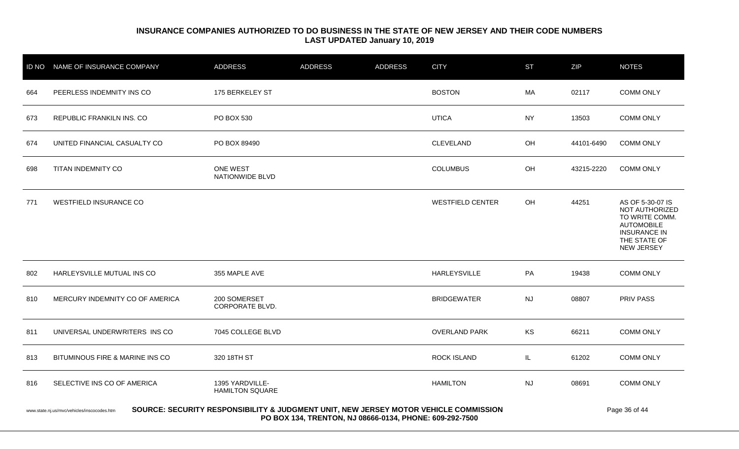| <b>ID NO</b> | NAME OF INSURANCE COMPANY                                                                                                                                                                                       | ADDRESS                                   | ADDRESS | <b>ADDRESS</b> | <b>CITY</b>             | <b>ST</b> | <b>ZIP</b> | <b>NOTES</b>                                                                                                                   |  |  |
|--------------|-----------------------------------------------------------------------------------------------------------------------------------------------------------------------------------------------------------------|-------------------------------------------|---------|----------------|-------------------------|-----------|------------|--------------------------------------------------------------------------------------------------------------------------------|--|--|
| 664          | PEERLESS INDEMNITY INS CO                                                                                                                                                                                       | 175 BERKELEY ST                           |         |                | <b>BOSTON</b>           | MA        | 02117      | <b>COMM ONLY</b>                                                                                                               |  |  |
| 673          | REPUBLIC FRANKILN INS. CO                                                                                                                                                                                       | PO BOX 530                                |         |                | <b>UTICA</b>            | <b>NY</b> | 13503      | <b>COMM ONLY</b>                                                                                                               |  |  |
| 674          | UNITED FINANCIAL CASUALTY CO                                                                                                                                                                                    | PO BOX 89490                              |         |                | CLEVELAND               | OH        | 44101-6490 | <b>COMM ONLY</b>                                                                                                               |  |  |
| 698          | TITAN INDEMNITY CO                                                                                                                                                                                              | ONE WEST<br>NATIONWIDE BLVD               |         |                | <b>COLUMBUS</b>         | OH        | 43215-2220 | <b>COMM ONLY</b>                                                                                                               |  |  |
| 771          | <b>WESTFIELD INSURANCE CO</b>                                                                                                                                                                                   |                                           |         |                | <b>WESTFIELD CENTER</b> | <b>OH</b> | 44251      | AS OF 5-30-07 IS<br>NOT AUTHORIZED<br>TO WRITE COMM.<br><b>AUTOMOBILE</b><br><b>INSURANCE IN</b><br>THE STATE OF<br>NEW JERSEY |  |  |
| 802          | HARLEYSVILLE MUTUAL INS CO                                                                                                                                                                                      | 355 MAPLE AVE                             |         |                | <b>HARLEYSVILLE</b>     | PA        | 19438      | <b>COMM ONLY</b>                                                                                                               |  |  |
| 810          | MERCURY INDEMNITY CO OF AMERICA                                                                                                                                                                                 | 200 SOMERSET<br>CORPORATE BLVD.           |         |                | <b>BRIDGEWATER</b>      | <b>NJ</b> | 08807      | PRIV PASS                                                                                                                      |  |  |
| 811          | UNIVERSAL UNDERWRITERS INS CO                                                                                                                                                                                   | 7045 COLLEGE BLVD                         |         |                | <b>OVERLAND PARK</b>    | KS        | 66211      | <b>COMM ONLY</b>                                                                                                               |  |  |
| 813          | BITUMINOUS FIRE & MARINE INS CO                                                                                                                                                                                 | 320 18TH ST                               |         |                | <b>ROCK ISLAND</b>      | IL.       | 61202      | <b>COMM ONLY</b>                                                                                                               |  |  |
| 816          | SELECTIVE INS CO OF AMERICA                                                                                                                                                                                     | 1395 YARDVILLE-<br><b>HAMILTON SQUARE</b> |         |                | <b>HAMILTON</b>         | <b>NJ</b> | 08691      | <b>COMM ONLY</b>                                                                                                               |  |  |
|              | SOURCE: SECURITY RESPONSIBILITY & JUDGMENT UNIT, NEW JERSEY MOTOR VEHICLE COMMISSION<br>Page 36 of 44<br>www.state.nj.us/mvc/vehicles/inscocodes.htm<br>PO BOX 134, TRENTON, NJ 08666-0134, PHONE: 609-292-7500 |                                           |         |                |                         |           |            |                                                                                                                                |  |  |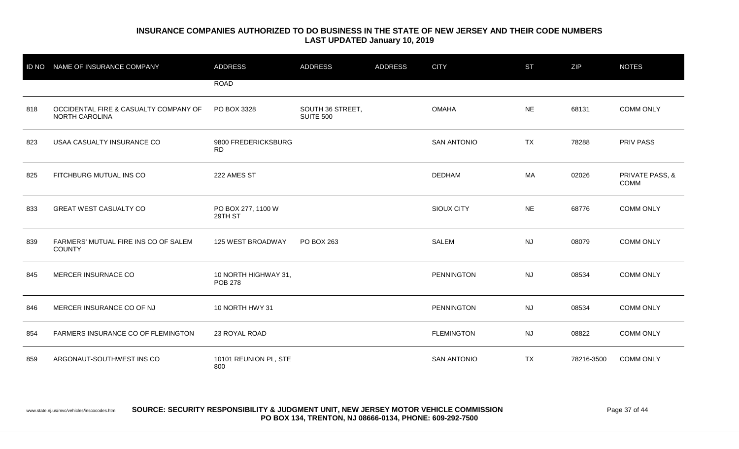| <b>ID NO</b> | NAME OF INSURANCE COMPANY                                      | <b>ADDRESS</b>                         | <b>ADDRESS</b>                       | <b>ADDRESS</b> | <b>CITY</b>        | <b>ST</b> | ZIP        | <b>NOTES</b>                   |
|--------------|----------------------------------------------------------------|----------------------------------------|--------------------------------------|----------------|--------------------|-----------|------------|--------------------------------|
|              |                                                                | <b>ROAD</b>                            |                                      |                |                    |           |            |                                |
| 818          | OCCIDENTAL FIRE & CASUALTY COMPANY OF<br><b>NORTH CAROLINA</b> | PO BOX 3328                            | SOUTH 36 STREET,<br><b>SUITE 500</b> |                | <b>OMAHA</b>       | <b>NE</b> | 68131      | <b>COMM ONLY</b>               |
| 823          | USAA CASUALTY INSURANCE CO                                     | 9800 FREDERICKSBURG<br><b>RD</b>       |                                      |                | <b>SAN ANTONIO</b> | <b>TX</b> | 78288      | PRIV PASS                      |
| 825          | FITCHBURG MUTUAL INS CO                                        | 222 AMES ST                            |                                      |                | <b>DEDHAM</b>      | MA        | 02026      | PRIVATE PASS, &<br><b>COMM</b> |
| 833          | <b>GREAT WEST CASUALTY CO</b>                                  | PO BOX 277, 1100 W<br>29TH ST          |                                      |                | SIOUX CITY         | <b>NE</b> | 68776      | <b>COMM ONLY</b>               |
| 839          | FARMERS' MUTUAL FIRE INS CO OF SALEM<br><b>COUNTY</b>          | 125 WEST BROADWAY                      | <b>PO BOX 263</b>                    |                | <b>SALEM</b>       | <b>NJ</b> | 08079      | <b>COMM ONLY</b>               |
| 845          | MERCER INSURNACE CO                                            | 10 NORTH HIGHWAY 31,<br><b>POB 278</b> |                                      |                | PENNINGTON         | <b>NJ</b> | 08534      | <b>COMM ONLY</b>               |
| 846          | MERCER INSURANCE CO OF NJ                                      | 10 NORTH HWY 31                        |                                      |                | <b>PENNINGTON</b>  | NJ        | 08534      | <b>COMM ONLY</b>               |
| 854          | FARMERS INSURANCE CO OF FLEMINGTON                             | 23 ROYAL ROAD                          |                                      |                | <b>FLEMINGTON</b>  | <b>NJ</b> | 08822      | <b>COMM ONLY</b>               |
| 859          | ARGONAUT-SOUTHWEST INS CO                                      | 10101 REUNION PL, STE<br>800           |                                      |                | <b>SAN ANTONIO</b> | <b>TX</b> | 78216-3500 | <b>COMM ONLY</b>               |

www.state.nj.us/mvc/vehicles/inscocodes.htm **SOURCE: SECURITY RESPONSIBILITY & JUDGMENT UNIT, NEW JERSEY MOTOR VEHICLE COMMISSION** Page 37 of 44 **PO BOX 134, TRENTON, NJ 08666-0134, PHONE: 609-292-7500**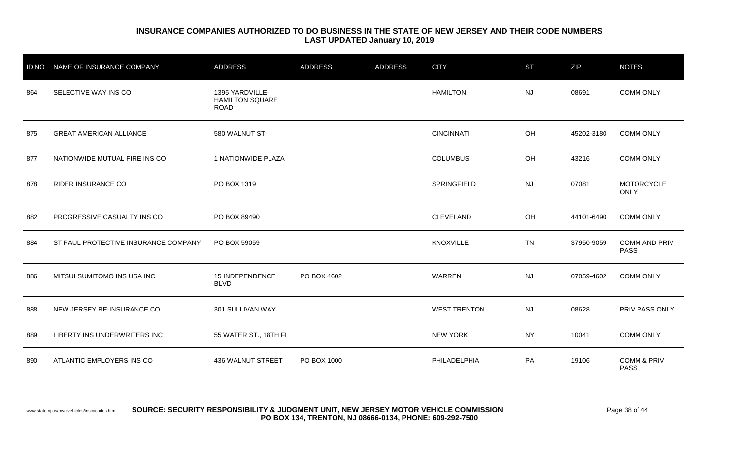| <b>ID NO</b> | NAME OF INSURANCE COMPANY            | <b>ADDRESS</b>                                           | <b>ADDRESS</b> | <b>ADDRESS</b> | <b>CITY</b>         | <b>ST</b> | ZIP        | <b>NOTES</b>                          |
|--------------|--------------------------------------|----------------------------------------------------------|----------------|----------------|---------------------|-----------|------------|---------------------------------------|
| 864          | SELECTIVE WAY INS CO                 | 1395 YARDVILLE-<br><b>HAMILTON SQUARE</b><br><b>ROAD</b> |                |                | <b>HAMILTON</b>     | <b>NJ</b> | 08691      | <b>COMM ONLY</b>                      |
| 875          | <b>GREAT AMERICAN ALLIANCE</b>       | 580 WALNUT ST                                            |                |                | <b>CINCINNATI</b>   | OH        | 45202-3180 | <b>COMM ONLY</b>                      |
| 877          | NATIONWIDE MUTUAL FIRE INS CO        | 1 NATIONWIDE PLAZA                                       |                |                | <b>COLUMBUS</b>     | OH        | 43216      | <b>COMM ONLY</b>                      |
| 878          | RIDER INSURANCE CO                   | PO BOX 1319                                              |                |                | SPRINGFIELD         | <b>NJ</b> | 07081      | <b>MOTORCYCLE</b><br><b>ONLY</b>      |
| 882          | PROGRESSIVE CASUALTY INS CO          | PO BOX 89490                                             |                |                | <b>CLEVELAND</b>    | OH        | 44101-6490 | <b>COMM ONLY</b>                      |
| 884          | ST PAUL PROTECTIVE INSURANCE COMPANY | PO BOX 59059                                             |                |                | KNOXVILLE           | <b>TN</b> | 37950-9059 | <b>COMM AND PRIV</b><br><b>PASS</b>   |
| 886          | MITSUI SUMITOMO INS USA INC          | 15 INDEPENDENCE<br><b>BLVD</b>                           | PO BOX 4602    |                | <b>WARREN</b>       | <b>NJ</b> | 07059-4602 | <b>COMM ONLY</b>                      |
| 888          | NEW JERSEY RE-INSURANCE CO           | 301 SULLIVAN WAY                                         |                |                | <b>WEST TRENTON</b> | <b>NJ</b> | 08628      | PRIV PASS ONLY                        |
| 889          | LIBERTY INS UNDERWRITERS INC         | 55 WATER ST., 18TH FL                                    |                |                | <b>NEW YORK</b>     | <b>NY</b> | 10041      | <b>COMM ONLY</b>                      |
| 890          | ATLANTIC EMPLOYERS INS CO            | 436 WALNUT STREET                                        | PO BOX 1000    |                | PHILADELPHIA        | PA        | 19106      | <b>COMM &amp; PRIV</b><br><b>PASS</b> |

www.state.nj.us/mvc/vehicles/inscocodes.htm **SOURCE: SECURITY RESPONSIBILITY & JUDGMENT UNIT, NEW JERSEY MOTOR VEHICLE COMMISSION** Page 38 of 44 **PO BOX 134, TRENTON, NJ 08666-0134, PHONE: 609-292-7500**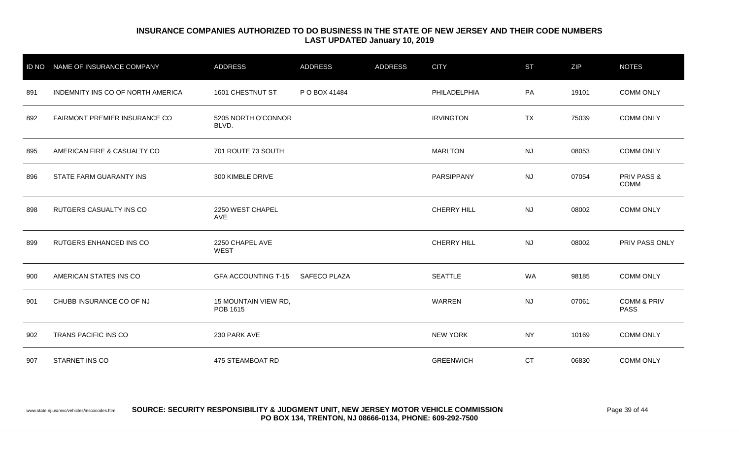| <b>ID NO</b> | NAME OF INSURANCE COMPANY         | <b>ADDRESS</b>                   | <b>ADDRESS</b>      | <b>ADDRESS</b> | <b>CITY</b>        | <b>ST</b> | ZIP   | <b>NOTES</b>                          |
|--------------|-----------------------------------|----------------------------------|---------------------|----------------|--------------------|-----------|-------|---------------------------------------|
| 891          | INDEMNITY INS CO OF NORTH AMERICA | 1601 CHESTNUT ST                 | P O BOX 41484       |                | PHILADELPHIA       | <b>PA</b> | 19101 | <b>COMM ONLY</b>                      |
| 892          | FAIRMONT PREMIER INSURANCE CO     | 5205 NORTH O'CONNOR<br>BLVD.     |                     |                | <b>IRVINGTON</b>   | <b>TX</b> | 75039 | <b>COMM ONLY</b>                      |
| 895          | AMERICAN FIRE & CASUALTY CO       | 701 ROUTE 73 SOUTH               |                     |                | <b>MARLTON</b>     | <b>NJ</b> | 08053 | <b>COMM ONLY</b>                      |
| 896          | STATE FARM GUARANTY INS           | 300 KIMBLE DRIVE                 |                     |                | PARSIPPANY         | <b>NJ</b> | 07054 | <b>PRIV PASS &amp;</b><br>COMM        |
| 898          | RUTGERS CASUALTY INS CO           | 2250 WEST CHAPEL<br>AVE          |                     |                | <b>CHERRY HILL</b> | <b>NJ</b> | 08002 | <b>COMM ONLY</b>                      |
| 899          | RUTGERS ENHANCED INS CO           | 2250 CHAPEL AVE<br><b>WEST</b>   |                     |                | CHERRY HILL        | <b>NJ</b> | 08002 | PRIV PASS ONLY                        |
| 900          | AMERICAN STATES INS CO            | <b>GFA ACCOUNTING T-15</b>       | <b>SAFECO PLAZA</b> |                | <b>SEATTLE</b>     | <b>WA</b> | 98185 | <b>COMM ONLY</b>                      |
| 901          | CHUBB INSURANCE CO OF NJ          | 15 MOUNTAIN VIEW RD,<br>POB 1615 |                     |                | <b>WARREN</b>      | <b>NJ</b> | 07061 | <b>COMM &amp; PRIV</b><br><b>PASS</b> |
| 902          | TRANS PACIFIC INS CO              | 230 PARK AVE                     |                     |                | <b>NEW YORK</b>    | <b>NY</b> | 10169 | <b>COMM ONLY</b>                      |
| 907          | STARNET INS CO                    | 475 STEAMBOAT RD                 |                     |                | <b>GREENWICH</b>   | <b>CT</b> | 06830 | <b>COMM ONLY</b>                      |

#### www.state.nj.us/mvc/vehicles/inscocodes.htm **SOURCE: SECURITY RESPONSIBILITY & JUDGMENT UNIT, NEW JERSEY MOTOR VEHICLE COMMISSION** Page 39 of 44 **PO BOX 134, TRENTON, NJ 08666-0134, PHONE: 609-292-7500**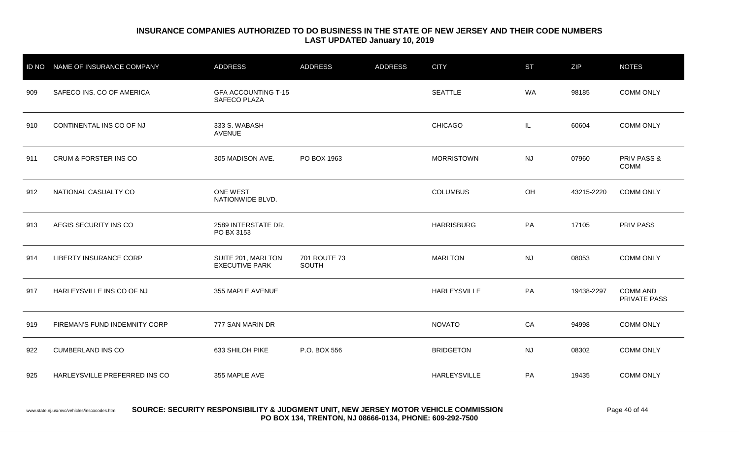| <b>ID NO</b> | NAME OF INSURANCE COMPANY     | <b>ADDRESS</b>                                    | <b>ADDRESS</b>        | <b>ADDRESS</b> | <b>CITY</b>         | <b>ST</b> | ZIP        | <b>NOTES</b>                    |
|--------------|-------------------------------|---------------------------------------------------|-----------------------|----------------|---------------------|-----------|------------|---------------------------------|
| 909          | SAFECO INS. CO OF AMERICA     | <b>GFA ACCOUNTING T-15</b><br><b>SAFECO PLAZA</b> |                       |                | <b>SEATTLE</b>      | WA        | 98185      | <b>COMM ONLY</b>                |
| 910          | CONTINENTAL INS CO OF NJ      | 333 S. WABASH<br><b>AVENUE</b>                    |                       |                | <b>CHICAGO</b>      | IL        | 60604      | <b>COMM ONLY</b>                |
| 911          | CRUM & FORSTER INS CO         | 305 MADISON AVE.                                  | PO BOX 1963           |                | <b>MORRISTOWN</b>   | <b>NJ</b> | 07960      | PRIV PASS &<br><b>COMM</b>      |
| 912          | NATIONAL CASUALTY CO          | <b>ONE WEST</b><br>NATIONWIDE BLVD.               |                       |                | <b>COLUMBUS</b>     | OH        | 43215-2220 | <b>COMM ONLY</b>                |
| 913          | AEGIS SECURITY INS CO         | 2589 INTERSTATE DR,<br>PO BX 3153                 |                       |                | <b>HARRISBURG</b>   | PA        | 17105      | <b>PRIV PASS</b>                |
| 914          | <b>LIBERTY INSURANCE CORP</b> | SUITE 201, MARLTON<br><b>EXECUTIVE PARK</b>       | 701 ROUTE 73<br>SOUTH |                | <b>MARLTON</b>      | <b>NJ</b> | 08053      | <b>COMM ONLY</b>                |
| 917          | HARLEYSVILLE INS CO OF NJ     | 355 MAPLE AVENUE                                  |                       |                | <b>HARLEYSVILLE</b> | PA        | 19438-2297 | <b>COMM AND</b><br>PRIVATE PASS |
| 919          | FIREMAN'S FUND INDEMNITY CORP | 777 SAN MARIN DR                                  |                       |                | <b>NOVATO</b>       | CA        | 94998      | <b>COMM ONLY</b>                |
| 922          | <b>CUMBERLAND INS CO</b>      | 633 SHILOH PIKE                                   | P.O. BOX 556          |                | <b>BRIDGETON</b>    | <b>NJ</b> | 08302      | <b>COMM ONLY</b>                |
| 925          | HARLEYSVILLE PREFERRED INS CO | 355 MAPLE AVE                                     |                       |                | <b>HARLEYSVILLE</b> | PA        | 19435      | <b>COMM ONLY</b>                |

#### www.state.nj.us/mvc/vehicles/inscocodes.htm **SOURCE: SECURITY RESPONSIBILITY & JUDGMENT UNIT, NEW JERSEY MOTOR VEHICLE COMMISSION** Page 40 of 44 **PO BOX 134, TRENTON, NJ 08666-0134, PHONE: 609-292-7500**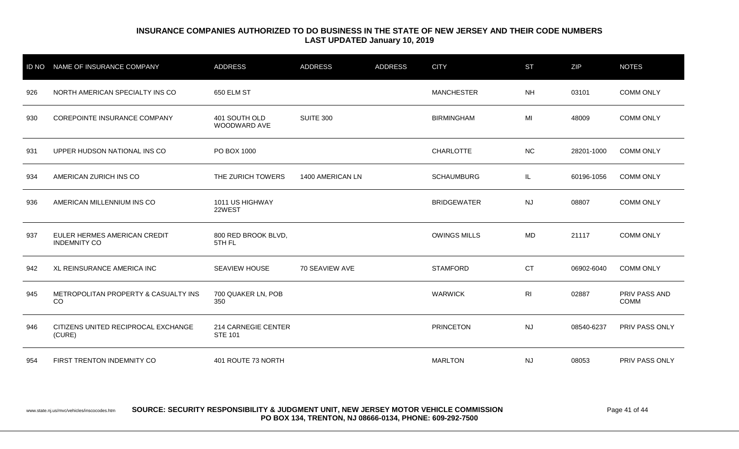| <b>ID NO</b> | NAME OF INSURANCE COMPANY                           | <b>ADDRESS</b>                        | <b>ADDRESS</b>   | <b>ADDRESS</b> | <b>CITY</b>         | <b>ST</b>      | <b>ZIP</b> | <b>NOTES</b>                 |
|--------------|-----------------------------------------------------|---------------------------------------|------------------|----------------|---------------------|----------------|------------|------------------------------|
| 926          | NORTH AMERICAN SPECIALTY INS CO                     | 650 ELM ST                            |                  |                | <b>MANCHESTER</b>   | <b>NH</b>      | 03101      | <b>COMM ONLY</b>             |
| 930          | COREPOINTE INSURANCE COMPANY                        | 401 SOUTH OLD<br>WOODWARD AVE         | <b>SUITE 300</b> |                | <b>BIRMINGHAM</b>   | MI             | 48009      | <b>COMM ONLY</b>             |
| 931          | UPPER HUDSON NATIONAL INS CO                        | PO BOX 1000                           |                  |                | <b>CHARLOTTE</b>    | NC             | 28201-1000 | <b>COMM ONLY</b>             |
| 934          | AMERICAN ZURICH INS CO                              | THE ZURICH TOWERS                     | 1400 AMERICAN LN |                | <b>SCHAUMBURG</b>   | IL.            | 60196-1056 | <b>COMM ONLY</b>             |
| 936          | AMERICAN MILLENNIUM INS CO                          | 1011 US HIGHWAY<br>22WEST             |                  |                | <b>BRIDGEWATER</b>  | <b>NJ</b>      | 08807      | <b>COMM ONLY</b>             |
| 937          | EULER HERMES AMERICAN CREDIT<br><b>INDEMNITY CO</b> | 800 RED BROOK BLVD,<br>5TH FL         |                  |                | <b>OWINGS MILLS</b> | <b>MD</b>      | 21117      | <b>COMM ONLY</b>             |
| 942          | XL REINSURANCE AMERICA INC                          | <b>SEAVIEW HOUSE</b>                  | 70 SEAVIEW AVE   |                | <b>STAMFORD</b>     | <b>CT</b>      | 06902-6040 | <b>COMM ONLY</b>             |
| 945          | METROPOLITAN PROPERTY & CASUALTY INS<br>CO          | 700 QUAKER LN, POB<br>350             |                  |                | <b>WARWICK</b>      | R <sub>l</sub> | 02887      | PRIV PASS AND<br><b>COMM</b> |
| 946          | CITIZENS UNITED RECIPROCAL EXCHANGE<br>(CURE)       | 214 CARNEGIE CENTER<br><b>STE 101</b> |                  |                | <b>PRINCETON</b>    | <b>NJ</b>      | 08540-6237 | PRIV PASS ONLY               |
| 954          | FIRST TRENTON INDEMNITY CO                          | 401 ROUTE 73 NORTH                    |                  |                | <b>MARLTON</b>      | <b>NJ</b>      | 08053      | <b>PRIV PASS ONLY</b>        |

www.state.nj.us/mvc/vehicles/inscocodes.htm **SOURCE: SECURITY RESPONSIBILITY & JUDGMENT UNIT, NEW JERSEY MOTOR VEHICLE COMMISSION** Page 41 of 44 **PO BOX 134, TRENTON, NJ 08666-0134, PHONE: 609-292-7500**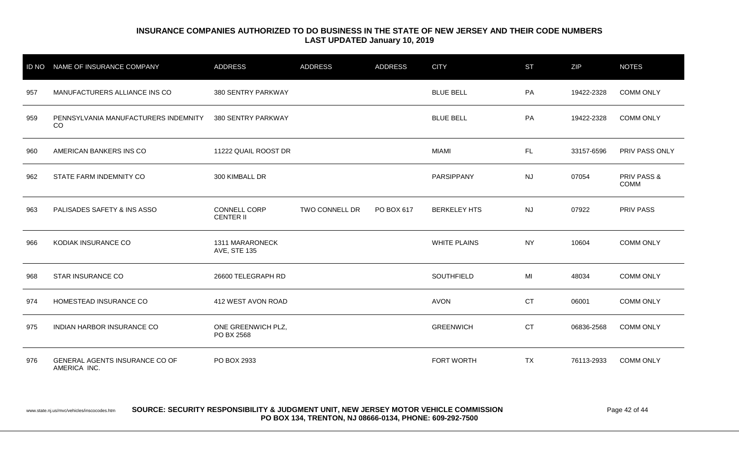| <b>ID NO</b> | <b>NAME OF INSURANCE COMPANY</b>               | <b>ADDRESS</b>                   | <b>ADDRESS</b> | <b>ADDRESS</b> | <b>CITY</b>         | <b>ST</b> | ZIP        | <b>NOTES</b>                          |
|--------------|------------------------------------------------|----------------------------------|----------------|----------------|---------------------|-----------|------------|---------------------------------------|
| 957          | MANUFACTURERS ALLIANCE INS CO                  | 380 SENTRY PARKWAY               |                |                | <b>BLUE BELL</b>    | PA        | 19422-2328 | <b>COMM ONLY</b>                      |
| 959          | PENNSYLVANIA MANUFACTURERS INDEMNITY<br>CO     | 380 SENTRY PARKWAY               |                |                | <b>BLUE BELL</b>    | PA        | 19422-2328 | <b>COMM ONLY</b>                      |
| 960          | AMERICAN BANKERS INS CO                        | 11222 QUAIL ROOST DR             |                |                | <b>MIAMI</b>        | FL.       | 33157-6596 | PRIV PASS ONLY                        |
| 962          | STATE FARM INDEMNITY CO                        | 300 KIMBALL DR                   |                |                | <b>PARSIPPANY</b>   | <b>NJ</b> | 07054      | <b>PRIV PASS &amp;</b><br><b>COMM</b> |
| 963          | PALISADES SAFETY & INS ASSO                    | CONNELL CORP<br><b>CENTER II</b> | TWO CONNELL DR | PO BOX 617     | <b>BERKELEY HTS</b> | <b>NJ</b> | 07922      | PRIV PASS                             |
| 966          | KODIAK INSURANCE CO                            | 1311 MARARONECK<br>AVE, STE 135  |                |                | <b>WHITE PLAINS</b> | <b>NY</b> | 10604      | <b>COMM ONLY</b>                      |
| 968          | STAR INSURANCE CO                              | 26600 TELEGRAPH RD               |                |                | SOUTHFIELD          | MI        | 48034      | <b>COMM ONLY</b>                      |
| 974          | HOMESTEAD INSURANCE CO                         | 412 WEST AVON ROAD               |                |                | <b>AVON</b>         | <b>CT</b> | 06001      | <b>COMM ONLY</b>                      |
| 975          | INDIAN HARBOR INSURANCE CO                     | ONE GREENWICH PLZ,<br>PO BX 2568 |                |                | <b>GREENWICH</b>    | <b>CT</b> | 06836-2568 | <b>COMM ONLY</b>                      |
| 976          | GENERAL AGENTS INSURANCE CO OF<br>AMERICA INC. | PO BOX 2933                      |                |                | FORT WORTH          | <b>TX</b> | 76113-2933 | <b>COMM ONLY</b>                      |

#### www.state.nj.us/mvc/vehicles/inscocodes.htm **SOURCE: SECURITY RESPONSIBILITY & JUDGMENT UNIT, NEW JERSEY MOTOR VEHICLE COMMISSION** Page 42 of 44 **PO BOX 134, TRENTON, NJ 08666-0134, PHONE: 609-292-7500**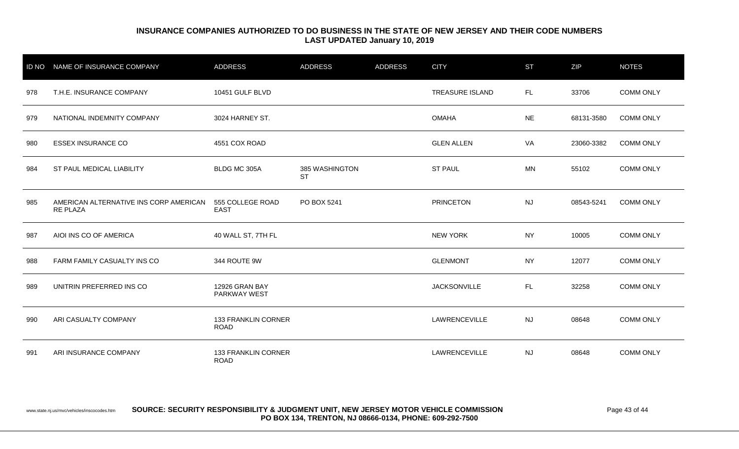|     | ID NO NAME OF INSURANCE COMPANY                           | <b>ADDRESS</b>                        | <b>ADDRESS</b>              | <b>ADDRESS</b> | <b>CITY</b>            | <b>ST</b> | ZIP        | <b>NOTES</b>     |
|-----|-----------------------------------------------------------|---------------------------------------|-----------------------------|----------------|------------------------|-----------|------------|------------------|
| 978 | T.H.E. INSURANCE COMPANY                                  | 10451 GULF BLVD                       |                             |                | <b>TREASURE ISLAND</b> | FL.       | 33706      | <b>COMM ONLY</b> |
| 979 | NATIONAL INDEMNITY COMPANY                                | 3024 HARNEY ST.                       |                             |                | <b>OMAHA</b>           | <b>NE</b> | 68131-3580 | <b>COMM ONLY</b> |
| 980 | <b>ESSEX INSURANCE CO</b>                                 | 4551 COX ROAD                         |                             |                | <b>GLEN ALLEN</b>      | VA        | 23060-3382 | <b>COMM ONLY</b> |
| 984 | ST PAUL MEDICAL LIABILITY                                 | BLDG MC 305A                          | 385 WASHINGTON<br><b>ST</b> |                | <b>ST PAUL</b>         | MN        | 55102      | <b>COMM ONLY</b> |
| 985 | AMERICAN ALTERNATIVE INS CORP AMERICAN<br><b>RE PLAZA</b> | 555 COLLEGE ROAD<br><b>EAST</b>       | PO BOX 5241                 |                | <b>PRINCETON</b>       | <b>NJ</b> | 08543-5241 | <b>COMM ONLY</b> |
| 987 | AIOI INS CO OF AMERICA                                    | 40 WALL ST, 7TH FL                    |                             |                | <b>NEW YORK</b>        | <b>NY</b> | 10005      | <b>COMM ONLY</b> |
| 988 | FARM FAMILY CASUALTY INS CO                               | 344 ROUTE 9W                          |                             |                | <b>GLENMONT</b>        | <b>NY</b> | 12077      | <b>COMM ONLY</b> |
| 989 | UNITRIN PREFERRED INS CO                                  | 12926 GRAN BAY<br><b>PARKWAY WEST</b> |                             |                | <b>JACKSONVILLE</b>    | FL.       | 32258      | <b>COMM ONLY</b> |
| 990 | ARI CASUALTY COMPANY                                      | 133 FRANKLIN CORNER<br><b>ROAD</b>    |                             |                | LAWRENCEVILLE          | <b>NJ</b> | 08648      | <b>COMM ONLY</b> |
| 991 | ARI INSURANCE COMPANY                                     | 133 FRANKLIN CORNER<br><b>ROAD</b>    |                             |                | LAWRENCEVILLE          | <b>NJ</b> | 08648      | <b>COMM ONLY</b> |

www.state.nj.us/mvc/vehicles/inscocodes.htm **SOURCE: SECURITY RESPONSIBILITY & JUDGMENT UNIT, NEW JERSEY MOTOR VEHICLE COMMISSION** Page 43 of 44 **PO BOX 134, TRENTON, NJ 08666-0134, PHONE: 609-292-7500**